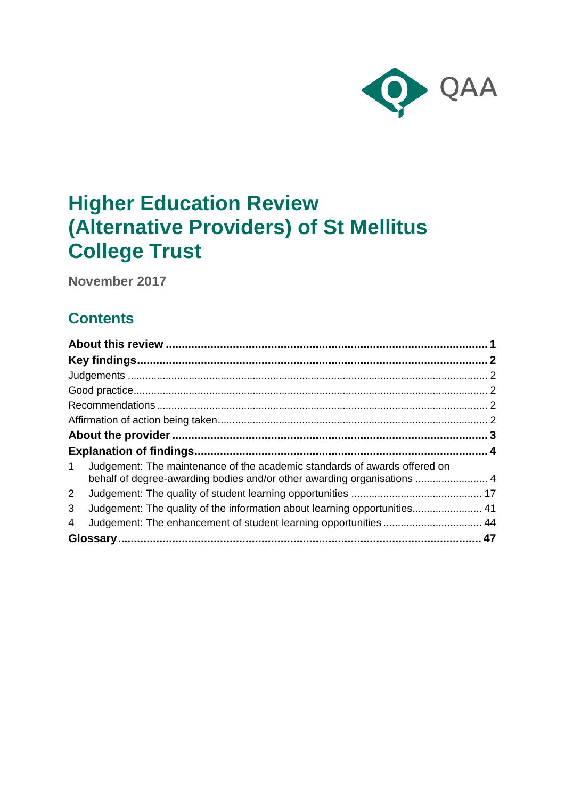

# **Higher Education Review (Alternative Providers) of St Mellitus College Trust**

**November 2017**

## **Contents**

| $\mathbf 1$  | Judgement: The maintenance of the academic standards of awards offered on<br>behalf of degree-awarding bodies and/or other awarding organisations  4 |  |
|--------------|------------------------------------------------------------------------------------------------------------------------------------------------------|--|
| $\mathbf{2}$ |                                                                                                                                                      |  |
| 3            | Judgement: The quality of the information about learning opportunities 41                                                                            |  |
| 4            | Judgement: The enhancement of student learning opportunities 44                                                                                      |  |
|              |                                                                                                                                                      |  |
|              |                                                                                                                                                      |  |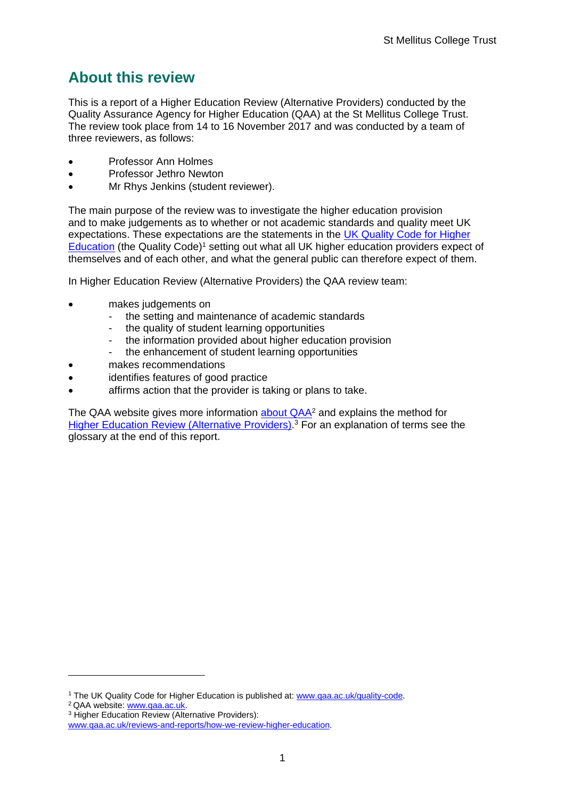## <span id="page-1-0"></span>**About this review**

This is a report of a Higher Education Review (Alternative Providers) conducted by the Quality Assurance Agency for Higher Education (QAA) at the St Mellitus College Trust. The review took place from 14 to 16 November 2017 and was conducted by a team of three reviewers, as follows:

- Professor Ann Holmes
- Professor Jethro Newton
- Mr Rhys Jenkins (student reviewer).

The main purpose of the review was to investigate the higher education provision and to make judgements as to whether or not academic standards and quality meet UK expectations. These expectations are the statements in the [UK Quality Code for Higher](http://www.qaa.ac.uk/assuring-standards-and-quality/the-quality-code)  [Education](http://www.qaa.ac.uk/assuring-standards-and-quality/the-quality-code) (the Quality Code)<sup>1</sup> setting out what all UK higher education providers expect of themselves and of each other, and what the general public can therefore expect of them.

In Higher Education Review (Alternative Providers) the QAA review team:

- makes judgements on
	- the setting and maintenance of academic standards
	- the quality of student learning opportunities
	- the information provided about higher education provision
	- the enhancement of student learning opportunities
- makes recommendations
- identifies features of good practice
- affirms action that the provider is taking or plans to take.

The QAA website gives more information [about QAA](http://www.qaa.ac.uk/)<sup>2</sup> and explains the method for [Higher Education Review \(Alternative Providers\).](http://www.qaa.ac.uk/reviews-and-reports/how-we-review-higher-education)<sup>3</sup> For an explanation of terms see the glossary at the end of this report.

<sup>2</sup> QAA website: [www.qaa.ac.uk.](http://www.qaa.ac.uk/)

1

<sup>&</sup>lt;sup>1</sup> The UK Quality Code for Higher Education is published at: [www.qaa.ac.uk/quality-code.](http://www.qaa.ac.uk/quality-code)

<sup>3</sup> Higher Education Review (Alternative Providers):

[www.qaa.ac.uk/reviews-and-reports/how-we-review-higher-education.](http://www.qaa.ac.uk/reviews-and-reports/how-we-review-higher-education)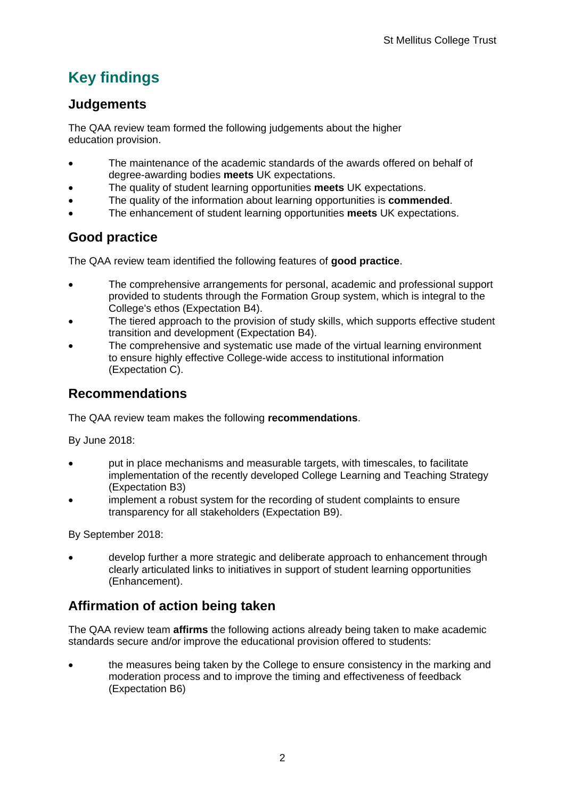## <span id="page-2-0"></span>**Key findings**

## <span id="page-2-1"></span>**Judgements**

The QAA review team formed the following judgements about the higher education provision.

- The maintenance of the academic standards of the awards offered on behalf of degree-awarding bodies **meets** UK expectations.
- The quality of student learning opportunities **meets** UK expectations.
- The quality of the information about learning opportunities is **commended**.
- The enhancement of student learning opportunities **meets** UK expectations.

## <span id="page-2-2"></span>**Good practice**

The QAA review team identified the following features of **good practice**.

- The comprehensive arrangements for personal, academic and professional support provided to students through the Formation Group system, which is integral to the College's ethos (Expectation B4).
- The tiered approach to the provision of study skills, which supports effective student transition and development (Expectation B4).
- The comprehensive and systematic use made of the virtual learning environment to ensure highly effective College-wide access to institutional information (Expectation C).

## <span id="page-2-3"></span>**Recommendations**

The QAA review team makes the following **recommendations**.

By June 2018:

- put in place mechanisms and measurable targets, with timescales, to facilitate implementation of the recently developed College Learning and Teaching Strategy (Expectation B3)
- implement a robust system for the recording of student complaints to ensure transparency for all stakeholders (Expectation B9).

By September 2018:

• develop further a more strategic and deliberate approach to enhancement through clearly articulated links to initiatives in support of student learning opportunities (Enhancement).

## <span id="page-2-4"></span>**Affirmation of action being taken**

The QAA review team **affirms** the following actions already being taken to make academic standards secure and/or improve the educational provision offered to students:

• the measures being taken by the College to ensure consistency in the marking and moderation process and to improve the timing and effectiveness of feedback (Expectation B6)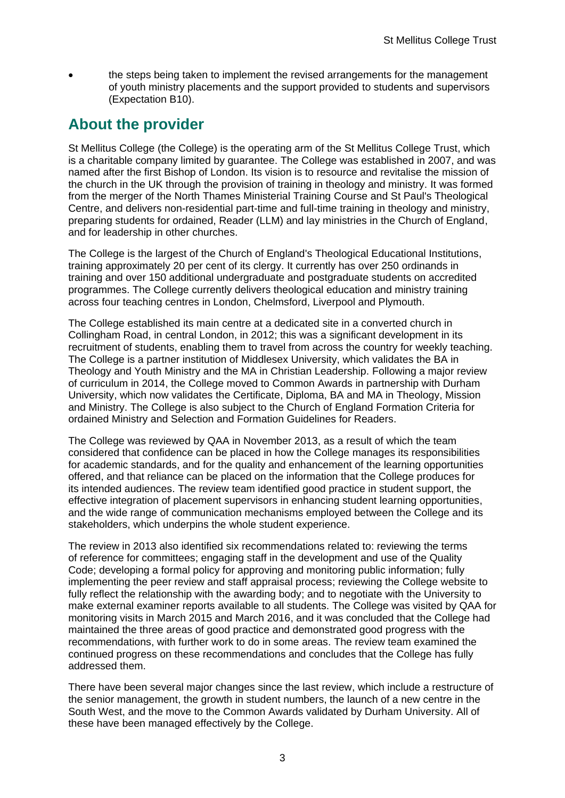• the steps being taken to implement the revised arrangements for the management of youth ministry placements and the support provided to students and supervisors (Expectation B10).

## <span id="page-3-0"></span>**About the provider**

St Mellitus College (the College) is the operating arm of the St Mellitus College Trust, which is a charitable company limited by guarantee. The College was established in 2007, and was named after the first Bishop of London. Its vision is to resource and revitalise the mission of the church in the UK through the provision of training in theology and ministry. It was formed from the merger of the North Thames Ministerial Training Course and St Paul's Theological Centre, and delivers non-residential part-time and full-time training in theology and ministry, preparing students for ordained, Reader (LLM) and lay ministries in the Church of England, and for leadership in other churches.

The College is the largest of the Church of England's Theological Educational Institutions, training approximately 20 per cent of its clergy. It currently has over 250 ordinands in training and over 150 additional undergraduate and postgraduate students on accredited programmes. The College currently delivers theological education and ministry training across four teaching centres in London, Chelmsford, Liverpool and Plymouth.

The College established its main centre at a dedicated site in a converted church in Collingham Road, in central London, in 2012; this was a significant development in its recruitment of students, enabling them to travel from across the country for weekly teaching. The College is a partner institution of Middlesex University, which validates the BA in Theology and Youth Ministry and the MA in Christian Leadership. Following a major review of curriculum in 2014, the College moved to Common Awards in partnership with Durham University, which now validates the Certificate, Diploma, BA and MA in Theology, Mission and Ministry. The College is also subject to the Church of England Formation Criteria for ordained Ministry and Selection and Formation Guidelines for Readers.

The College was reviewed by QAA in November 2013, as a result of which the team considered that confidence can be placed in how the College manages its responsibilities for academic standards, and for the quality and enhancement of the learning opportunities offered, and that reliance can be placed on the information that the College produces for its intended audiences. The review team identified good practice in student support, the effective integration of placement supervisors in enhancing student learning opportunities, and the wide range of communication mechanisms employed between the College and its stakeholders, which underpins the whole student experience.

The review in 2013 also identified six recommendations related to: reviewing the terms of reference for committees; engaging staff in the development and use of the Quality Code; developing a formal policy for approving and monitoring public information; fully implementing the peer review and staff appraisal process; reviewing the College website to fully reflect the relationship with the awarding body; and to negotiate with the University to make external examiner reports available to all students. The College was visited by QAA for monitoring visits in March 2015 and March 2016, and it was concluded that the College had maintained the three areas of good practice and demonstrated good progress with the recommendations, with further work to do in some areas. The review team examined the continued progress on these recommendations and concludes that the College has fully addressed them.

There have been several major changes since the last review, which include a restructure of the senior management, the growth in student numbers, the launch of a new centre in the South West, and the move to the Common Awards validated by Durham University. All of these have been managed effectively by the College.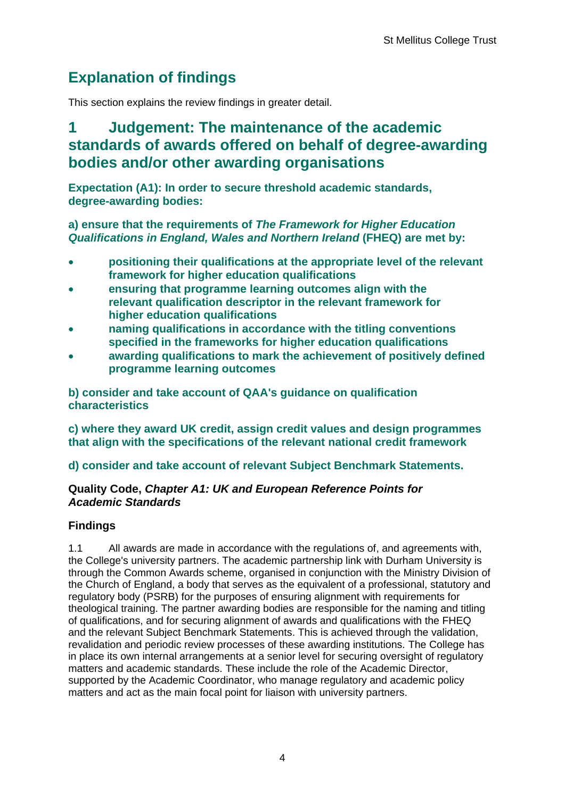## <span id="page-4-0"></span>**Explanation of findings**

This section explains the review findings in greater detail.

## <span id="page-4-1"></span>**1 Judgement: The maintenance of the academic standards of awards offered on behalf of degree-awarding bodies and/or other awarding organisations**

**Expectation (A1): In order to secure threshold academic standards, degree-awarding bodies:**

**a) ensure that the requirements of** *The Framework for Higher Education Qualifications in England, Wales and Northern Ireland* **(FHEQ) are met by:**

- **positioning their qualifications at the appropriate level of the relevant framework for higher education qualifications**
- **ensuring that programme learning outcomes align with the relevant qualification descriptor in the relevant framework for higher education qualifications**
- **naming qualifications in accordance with the titling conventions specified in the frameworks for higher education qualifications**
- **awarding qualifications to mark the achievement of positively defined programme learning outcomes**

**b) consider and take account of QAA's guidance on qualification characteristics** 

**c) where they award UK credit, assign credit values and design programmes that align with the specifications of the relevant national credit framework** 

**d) consider and take account of relevant Subject Benchmark Statements.**

### **Quality Code,** *Chapter A1: UK and European Reference Points for Academic Standards*

## **Findings**

1.1 All awards are made in accordance with the regulations of, and agreements with, the College's university partners. The academic partnership link with Durham University is through the Common Awards scheme, organised in conjunction with the Ministry Division of the Church of England, a body that serves as the equivalent of a professional, statutory and regulatory body (PSRB) for the purposes of ensuring alignment with requirements for theological training. The partner awarding bodies are responsible for the naming and titling of qualifications, and for securing alignment of awards and qualifications with the FHEQ and the relevant Subject Benchmark Statements. This is achieved through the validation, revalidation and periodic review processes of these awarding institutions. The College has in place its own internal arrangements at a senior level for securing oversight of regulatory matters and academic standards. These include the role of the Academic Director, supported by the Academic Coordinator, who manage regulatory and academic policy matters and act as the main focal point for liaison with university partners.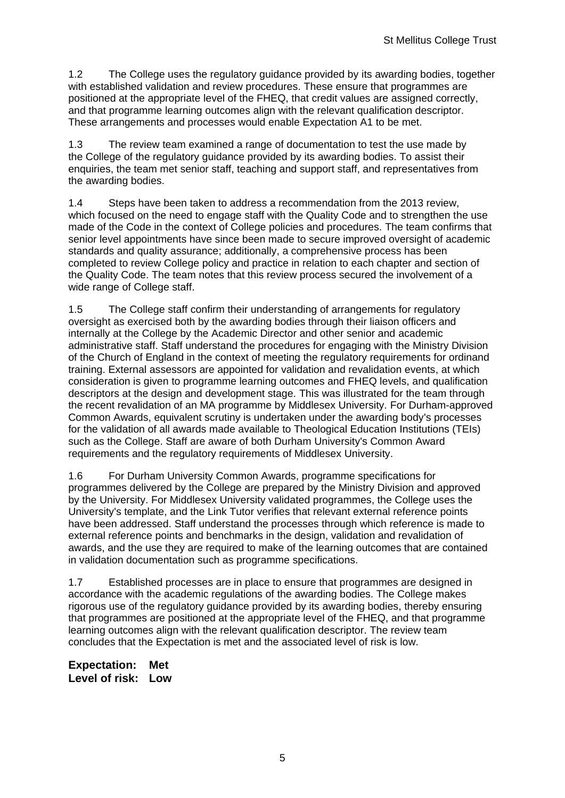1.2 The College uses the regulatory guidance provided by its awarding bodies, together with established validation and review procedures. These ensure that programmes are positioned at the appropriate level of the FHEQ, that credit values are assigned correctly, and that programme learning outcomes align with the relevant qualification descriptor. These arrangements and processes would enable Expectation A1 to be met.

1.3 The review team examined a range of documentation to test the use made by the College of the regulatory guidance provided by its awarding bodies. To assist their enquiries, the team met senior staff, teaching and support staff, and representatives from the awarding bodies.

1.4 Steps have been taken to address a recommendation from the 2013 review, which focused on the need to engage staff with the Quality Code and to strengthen the use made of the Code in the context of College policies and procedures. The team confirms that senior level appointments have since been made to secure improved oversight of academic standards and quality assurance; additionally, a comprehensive process has been completed to review College policy and practice in relation to each chapter and section of the Quality Code. The team notes that this review process secured the involvement of a wide range of College staff.

1.5 The College staff confirm their understanding of arrangements for regulatory oversight as exercised both by the awarding bodies through their liaison officers and internally at the College by the Academic Director and other senior and academic administrative staff. Staff understand the procedures for engaging with the Ministry Division of the Church of England in the context of meeting the regulatory requirements for ordinand training. External assessors are appointed for validation and revalidation events, at which consideration is given to programme learning outcomes and FHEQ levels, and qualification descriptors at the design and development stage. This was illustrated for the team through the recent revalidation of an MA programme by Middlesex University. For Durham-approved Common Awards, equivalent scrutiny is undertaken under the awarding body's processes for the validation of all awards made available to Theological Education Institutions (TEIs) such as the College. Staff are aware of both Durham University's Common Award requirements and the regulatory requirements of Middlesex University.

1.6 For Durham University Common Awards, programme specifications for programmes delivered by the College are prepared by the Ministry Division and approved by the University. For Middlesex University validated programmes, the College uses the University's template, and the Link Tutor verifies that relevant external reference points have been addressed. Staff understand the processes through which reference is made to external reference points and benchmarks in the design, validation and revalidation of awards, and the use they are required to make of the learning outcomes that are contained in validation documentation such as programme specifications.

1.7 Established processes are in place to ensure that programmes are designed in accordance with the academic regulations of the awarding bodies. The College makes rigorous use of the regulatory guidance provided by its awarding bodies, thereby ensuring that programmes are positioned at the appropriate level of the FHEQ, and that programme learning outcomes align with the relevant qualification descriptor. The review team concludes that the Expectation is met and the associated level of risk is low.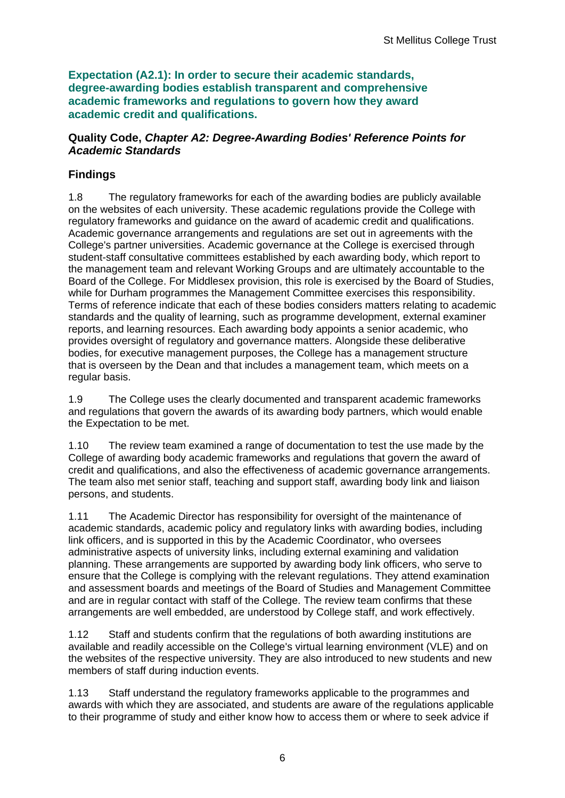**Expectation (A2.1): In order to secure their academic standards, degree-awarding bodies establish transparent and comprehensive academic frameworks and regulations to govern how they award academic credit and qualifications.**

#### **Quality Code,** *Chapter A2: Degree-Awarding Bodies' Reference Points for Academic Standards*

## **Findings**

1.8 The regulatory frameworks for each of the awarding bodies are publicly available on the websites of each university. These academic regulations provide the College with regulatory frameworks and guidance on the award of academic credit and qualifications. Academic governance arrangements and regulations are set out in agreements with the College's partner universities. Academic governance at the College is exercised through student-staff consultative committees established by each awarding body, which report to the management team and relevant Working Groups and are ultimately accountable to the Board of the College. For Middlesex provision, this role is exercised by the Board of Studies, while for Durham programmes the Management Committee exercises this responsibility. Terms of reference indicate that each of these bodies considers matters relating to academic standards and the quality of learning, such as programme development, external examiner reports, and learning resources. Each awarding body appoints a senior academic, who provides oversight of regulatory and governance matters. Alongside these deliberative bodies, for executive management purposes, the College has a management structure that is overseen by the Dean and that includes a management team, which meets on a regular basis.

1.9 The College uses the clearly documented and transparent academic frameworks and regulations that govern the awards of its awarding body partners, which would enable the Expectation to be met.

1.10 The review team examined a range of documentation to test the use made by the College of awarding body academic frameworks and regulations that govern the award of credit and qualifications, and also the effectiveness of academic governance arrangements. The team also met senior staff, teaching and support staff, awarding body link and liaison persons, and students.

1.11 The Academic Director has responsibility for oversight of the maintenance of academic standards, academic policy and regulatory links with awarding bodies, including link officers, and is supported in this by the Academic Coordinator, who oversees administrative aspects of university links, including external examining and validation planning. These arrangements are supported by awarding body link officers, who serve to ensure that the College is complying with the relevant regulations. They attend examination and assessment boards and meetings of the Board of Studies and Management Committee and are in regular contact with staff of the College. The review team confirms that these arrangements are well embedded, are understood by College staff, and work effectively.

1.12 Staff and students confirm that the regulations of both awarding institutions are available and readily accessible on the College's virtual learning environment (VLE) and on the websites of the respective university. They are also introduced to new students and new members of staff during induction events.

1.13 Staff understand the regulatory frameworks applicable to the programmes and awards with which they are associated, and students are aware of the regulations applicable to their programme of study and either know how to access them or where to seek advice if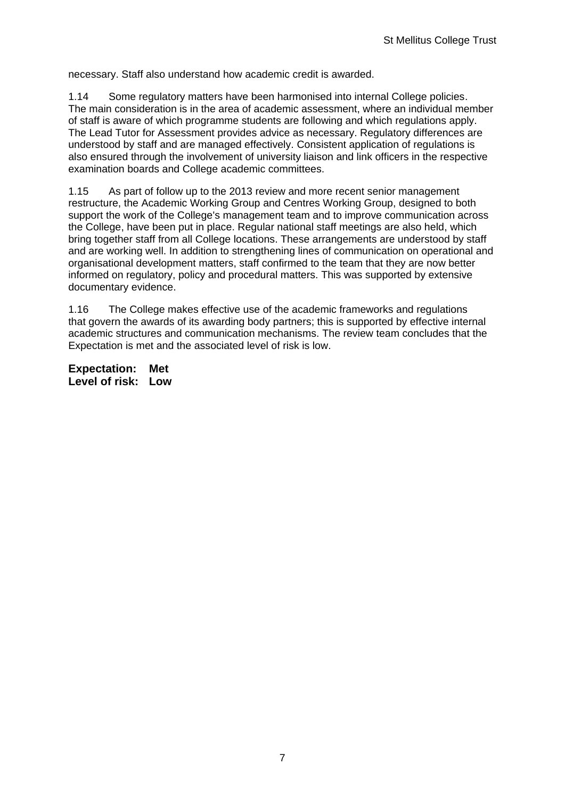necessary. Staff also understand how academic credit is awarded.

1.14 Some regulatory matters have been harmonised into internal College policies. The main consideration is in the area of academic assessment, where an individual member of staff is aware of which programme students are following and which regulations apply. The Lead Tutor for Assessment provides advice as necessary. Regulatory differences are understood by staff and are managed effectively. Consistent application of regulations is also ensured through the involvement of university liaison and link officers in the respective examination boards and College academic committees.

1.15 As part of follow up to the 2013 review and more recent senior management restructure, the Academic Working Group and Centres Working Group, designed to both support the work of the College's management team and to improve communication across the College, have been put in place. Regular national staff meetings are also held, which bring together staff from all College locations. These arrangements are understood by staff and are working well. In addition to strengthening lines of communication on operational and organisational development matters, staff confirmed to the team that they are now better informed on regulatory, policy and procedural matters. This was supported by extensive documentary evidence.

1.16 The College makes effective use of the academic frameworks and regulations that govern the awards of its awarding body partners; this is supported by effective internal academic structures and communication mechanisms. The review team concludes that the Expectation is met and the associated level of risk is low.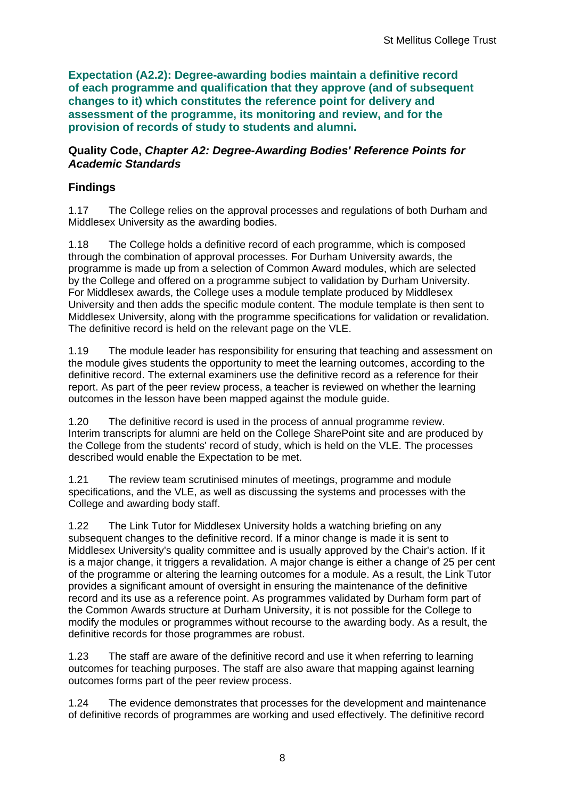**Expectation (A2.2): Degree-awarding bodies maintain a definitive record of each programme and qualification that they approve (and of subsequent changes to it) which constitutes the reference point for delivery and assessment of the programme, its monitoring and review, and for the provision of records of study to students and alumni.** 

#### **Quality Code,** *Chapter A2: Degree-Awarding Bodies' Reference Points for Academic Standards*

## **Findings**

1.17 The College relies on the approval processes and regulations of both Durham and Middlesex University as the awarding bodies.

1.18 The College holds a definitive record of each programme, which is composed through the combination of approval processes. For Durham University awards, the programme is made up from a selection of Common Award modules, which are selected by the College and offered on a programme subject to validation by Durham University. For Middlesex awards, the College uses a module template produced by Middlesex University and then adds the specific module content. The module template is then sent to Middlesex University, along with the programme specifications for validation or revalidation. The definitive record is held on the relevant page on the VLE.

1.19 The module leader has responsibility for ensuring that teaching and assessment on the module gives students the opportunity to meet the learning outcomes, according to the definitive record. The external examiners use the definitive record as a reference for their report. As part of the peer review process, a teacher is reviewed on whether the learning outcomes in the lesson have been mapped against the module guide.

1.20 The definitive record is used in the process of annual programme review. Interim transcripts for alumni are held on the College SharePoint site and are produced by the College from the students' record of study, which is held on the VLE. The processes described would enable the Expectation to be met.

1.21 The review team scrutinised minutes of meetings, programme and module specifications, and the VLE, as well as discussing the systems and processes with the College and awarding body staff.

1.22 The Link Tutor for Middlesex University holds a watching briefing on any subsequent changes to the definitive record. If a minor change is made it is sent to Middlesex University's quality committee and is usually approved by the Chair's action. If it is a major change, it triggers a revalidation. A major change is either a change of 25 per cent of the programme or altering the learning outcomes for a module. As a result, the Link Tutor provides a significant amount of oversight in ensuring the maintenance of the definitive record and its use as a reference point. As programmes validated by Durham form part of the Common Awards structure at Durham University, it is not possible for the College to modify the modules or programmes without recourse to the awarding body. As a result, the definitive records for those programmes are robust.

1.23 The staff are aware of the definitive record and use it when referring to learning outcomes for teaching purposes. The staff are also aware that mapping against learning outcomes forms part of the peer review process.

1.24 The evidence demonstrates that processes for the development and maintenance of definitive records of programmes are working and used effectively. The definitive record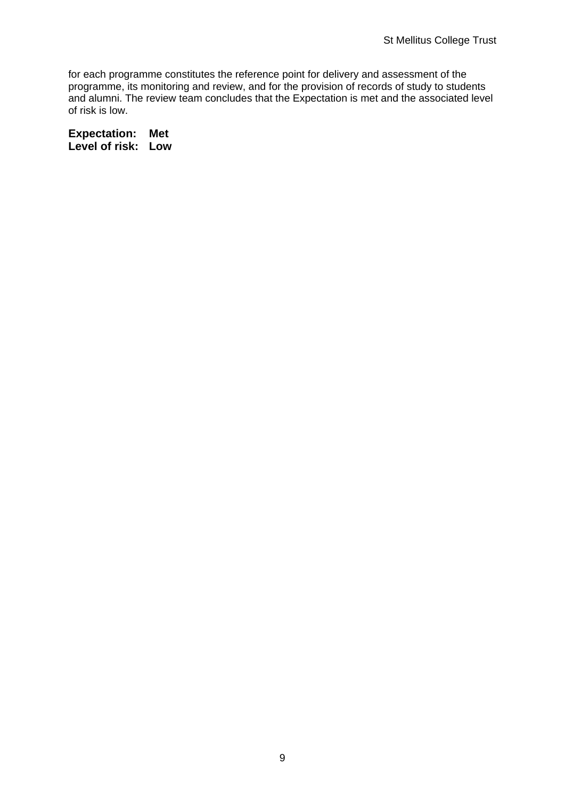for each programme constitutes the reference point for delivery and assessment of the programme, its monitoring and review, and for the provision of records of study to students and alumni. The review team concludes that the Expectation is met and the associated level of risk is low.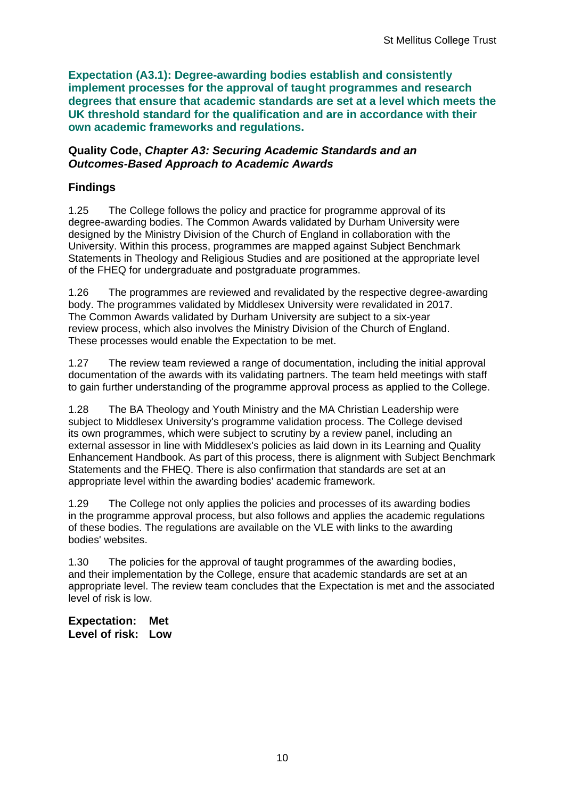**Expectation (A3.1): Degree-awarding bodies establish and consistently implement processes for the approval of taught programmes and research degrees that ensure that academic standards are set at a level which meets the UK threshold standard for the qualification and are in accordance with their own academic frameworks and regulations.**

#### **Quality Code,** *Chapter A3: Securing Academic Standards and an Outcomes-Based Approach to Academic Awards*

## **Findings**

1.25 The College follows the policy and practice for programme approval of its degree-awarding bodies. The Common Awards validated by Durham University were designed by the Ministry Division of the Church of England in collaboration with the University. Within this process, programmes are mapped against Subject Benchmark Statements in Theology and Religious Studies and are positioned at the appropriate level of the FHEQ for undergraduate and postgraduate programmes.

1.26 The programmes are reviewed and revalidated by the respective degree-awarding body. The programmes validated by Middlesex University were revalidated in 2017. The Common Awards validated by Durham University are subject to a six-year review process, which also involves the Ministry Division of the Church of England. These processes would enable the Expectation to be met.

1.27 The review team reviewed a range of documentation, including the initial approval documentation of the awards with its validating partners. The team held meetings with staff to gain further understanding of the programme approval process as applied to the College.

1.28 The BA Theology and Youth Ministry and the MA Christian Leadership were subject to Middlesex University's programme validation process. The College devised its own programmes, which were subject to scrutiny by a review panel, including an external assessor in line with Middlesex's policies as laid down in its Learning and Quality Enhancement Handbook. As part of this process, there is alignment with Subject Benchmark Statements and the FHEQ. There is also confirmation that standards are set at an appropriate level within the awarding bodies' academic framework.

1.29 The College not only applies the policies and processes of its awarding bodies in the programme approval process, but also follows and applies the academic regulations of these bodies. The regulations are available on the VLE with links to the awarding bodies' websites.

1.30 The policies for the approval of taught programmes of the awarding bodies, and their implementation by the College, ensure that academic standards are set at an appropriate level. The review team concludes that the Expectation is met and the associated level of risk is low.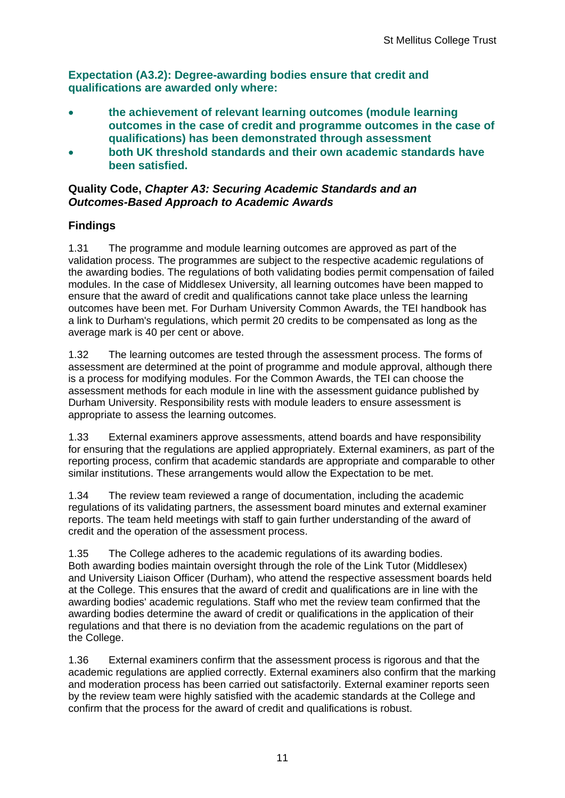**Expectation (A3.2): Degree-awarding bodies ensure that credit and qualifications are awarded only where:**

- **the achievement of relevant learning outcomes (module learning outcomes in the case of credit and programme outcomes in the case of qualifications) has been demonstrated through assessment**
- **both UK threshold standards and their own academic standards have been satisfied.**

### **Quality Code,** *Chapter A3: Securing Academic Standards and an Outcomes-Based Approach to Academic Awards*

## **Findings**

1.31 The programme and module learning outcomes are approved as part of the validation process. The programmes are subject to the respective academic regulations of the awarding bodies. The regulations of both validating bodies permit compensation of failed modules. In the case of Middlesex University, all learning outcomes have been mapped to ensure that the award of credit and qualifications cannot take place unless the learning outcomes have been met. For Durham University Common Awards, the TEI handbook has a link to Durham's regulations, which permit 20 credits to be compensated as long as the average mark is 40 per cent or above.

1.32 The learning outcomes are tested through the assessment process. The forms of assessment are determined at the point of programme and module approval, although there is a process for modifying modules. For the Common Awards, the TEI can choose the assessment methods for each module in line with the assessment guidance published by Durham University. Responsibility rests with module leaders to ensure assessment is appropriate to assess the learning outcomes.

1.33 External examiners approve assessments, attend boards and have responsibility for ensuring that the regulations are applied appropriately. External examiners, as part of the reporting process, confirm that academic standards are appropriate and comparable to other similar institutions. These arrangements would allow the Expectation to be met.

1.34 The review team reviewed a range of documentation, including the academic regulations of its validating partners, the assessment board minutes and external examiner reports. The team held meetings with staff to gain further understanding of the award of credit and the operation of the assessment process.

1.35 The College adheres to the academic regulations of its awarding bodies. Both awarding bodies maintain oversight through the role of the Link Tutor (Middlesex) and University Liaison Officer (Durham), who attend the respective assessment boards held at the College. This ensures that the award of credit and qualifications are in line with the awarding bodies' academic regulations. Staff who met the review team confirmed that the awarding bodies determine the award of credit or qualifications in the application of their regulations and that there is no deviation from the academic regulations on the part of the College.

1.36 External examiners confirm that the assessment process is rigorous and that the academic regulations are applied correctly. External examiners also confirm that the marking and moderation process has been carried out satisfactorily. External examiner reports seen by the review team were highly satisfied with the academic standards at the College and confirm that the process for the award of credit and qualifications is robust.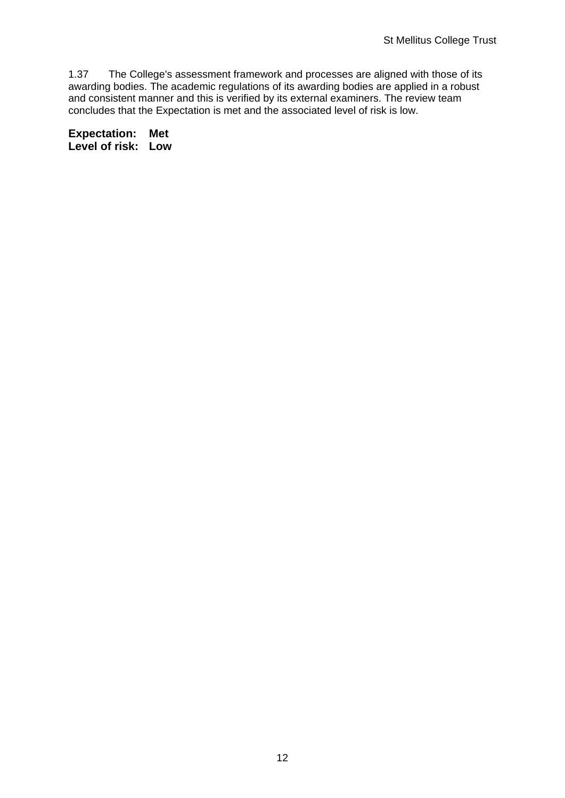1.37 The College's assessment framework and processes are aligned with those of its awarding bodies. The academic regulations of its awarding bodies are applied in a robust and consistent manner and this is verified by its external examiners. The review team concludes that the Expectation is met and the associated level of risk is low.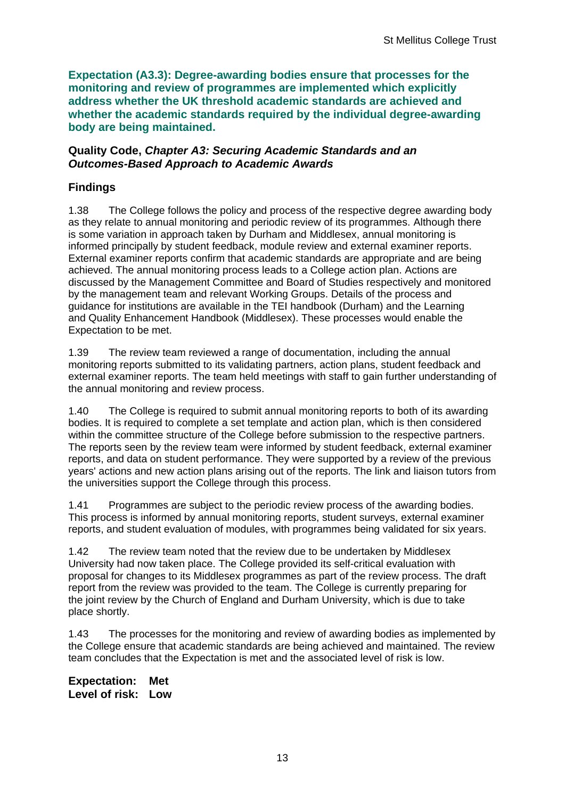**Expectation (A3.3): Degree-awarding bodies ensure that processes for the monitoring and review of programmes are implemented which explicitly address whether the UK threshold academic standards are achieved and whether the academic standards required by the individual degree-awarding body are being maintained.**

#### **Quality Code,** *Chapter A3: Securing Academic Standards and an Outcomes-Based Approach to Academic Awards*

## **Findings**

1.38 The College follows the policy and process of the respective degree awarding body as they relate to annual monitoring and periodic review of its programmes. Although there is some variation in approach taken by Durham and Middlesex, annual monitoring is informed principally by student feedback, module review and external examiner reports. External examiner reports confirm that academic standards are appropriate and are being achieved. The annual monitoring process leads to a College action plan. Actions are discussed by the Management Committee and Board of Studies respectively and monitored by the management team and relevant Working Groups. Details of the process and guidance for institutions are available in the TEI handbook (Durham) and the Learning and Quality Enhancement Handbook (Middlesex). These processes would enable the Expectation to be met.

1.39 The review team reviewed a range of documentation, including the annual monitoring reports submitted to its validating partners, action plans, student feedback and external examiner reports. The team held meetings with staff to gain further understanding of the annual monitoring and review process.

1.40 The College is required to submit annual monitoring reports to both of its awarding bodies. It is required to complete a set template and action plan, which is then considered within the committee structure of the College before submission to the respective partners. The reports seen by the review team were informed by student feedback, external examiner reports, and data on student performance. They were supported by a review of the previous years' actions and new action plans arising out of the reports. The link and liaison tutors from the universities support the College through this process.

1.41 Programmes are subject to the periodic review process of the awarding bodies. This process is informed by annual monitoring reports, student surveys, external examiner reports, and student evaluation of modules, with programmes being validated for six years.

1.42 The review team noted that the review due to be undertaken by Middlesex University had now taken place. The College provided its self-critical evaluation with proposal for changes to its Middlesex programmes as part of the review process. The draft report from the review was provided to the team. The College is currently preparing for the joint review by the Church of England and Durham University, which is due to take place shortly.

1.43 The processes for the monitoring and review of awarding bodies as implemented by the College ensure that academic standards are being achieved and maintained. The review team concludes that the Expectation is met and the associated level of risk is low.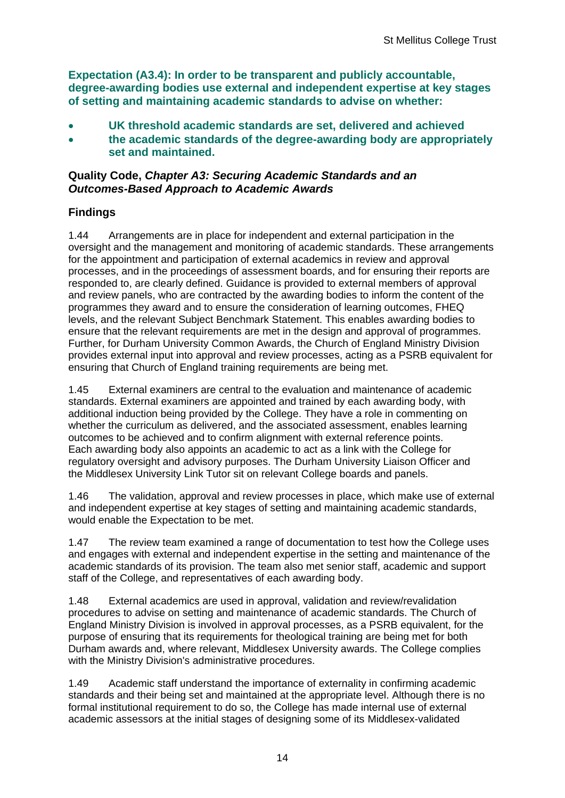**Expectation (A3.4): In order to be transparent and publicly accountable, degree-awarding bodies use external and independent expertise at key stages of setting and maintaining academic standards to advise on whether:**

- **UK threshold academic standards are set, delivered and achieved**
- **the academic standards of the degree-awarding body are appropriately set and maintained.**

#### **Quality Code,** *Chapter A3: Securing Academic Standards and an Outcomes-Based Approach to Academic Awards*

### **Findings**

1.44 Arrangements are in place for independent and external participation in the oversight and the management and monitoring of academic standards. These arrangements for the appointment and participation of external academics in review and approval processes, and in the proceedings of assessment boards, and for ensuring their reports are responded to, are clearly defined. Guidance is provided to external members of approval and review panels, who are contracted by the awarding bodies to inform the content of the programmes they award and to ensure the consideration of learning outcomes, FHEQ levels, and the relevant Subject Benchmark Statement. This enables awarding bodies to ensure that the relevant requirements are met in the design and approval of programmes. Further, for Durham University Common Awards, the Church of England Ministry Division provides external input into approval and review processes, acting as a PSRB equivalent for ensuring that Church of England training requirements are being met.

1.45 External examiners are central to the evaluation and maintenance of academic standards. External examiners are appointed and trained by each awarding body, with additional induction being provided by the College. They have a role in commenting on whether the curriculum as delivered, and the associated assessment, enables learning outcomes to be achieved and to confirm alignment with external reference points. Each awarding body also appoints an academic to act as a link with the College for regulatory oversight and advisory purposes. The Durham University Liaison Officer and the Middlesex University Link Tutor sit on relevant College boards and panels.

1.46 The validation, approval and review processes in place, which make use of external and independent expertise at key stages of setting and maintaining academic standards, would enable the Expectation to be met.

1.47 The review team examined a range of documentation to test how the College uses and engages with external and independent expertise in the setting and maintenance of the academic standards of its provision. The team also met senior staff, academic and support staff of the College, and representatives of each awarding body.

1.48 External academics are used in approval, validation and review/revalidation procedures to advise on setting and maintenance of academic standards. The Church of England Ministry Division is involved in approval processes, as a PSRB equivalent, for the purpose of ensuring that its requirements for theological training are being met for both Durham awards and, where relevant, Middlesex University awards. The College complies with the Ministry Division's administrative procedures.

1.49 Academic staff understand the importance of externality in confirming academic standards and their being set and maintained at the appropriate level. Although there is no formal institutional requirement to do so, the College has made internal use of external academic assessors at the initial stages of designing some of its Middlesex-validated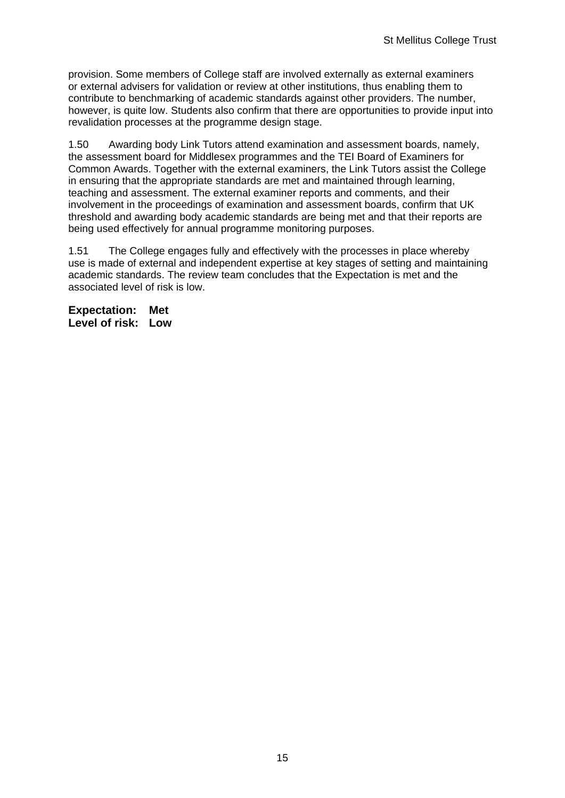provision. Some members of College staff are involved externally as external examiners or external advisers for validation or review at other institutions, thus enabling them to contribute to benchmarking of academic standards against other providers. The number, however, is quite low. Students also confirm that there are opportunities to provide input into revalidation processes at the programme design stage.

1.50 Awarding body Link Tutors attend examination and assessment boards, namely, the assessment board for Middlesex programmes and the TEI Board of Examiners for Common Awards. Together with the external examiners, the Link Tutors assist the College in ensuring that the appropriate standards are met and maintained through learning, teaching and assessment. The external examiner reports and comments, and their involvement in the proceedings of examination and assessment boards, confirm that UK threshold and awarding body academic standards are being met and that their reports are being used effectively for annual programme monitoring purposes.

1.51 The College engages fully and effectively with the processes in place whereby use is made of external and independent expertise at key stages of setting and maintaining academic standards. The review team concludes that the Expectation is met and the associated level of risk is low.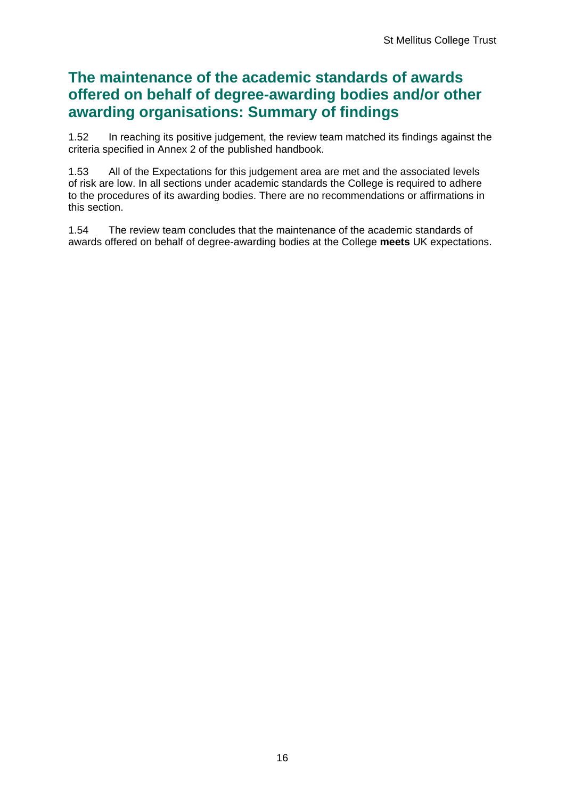## **The maintenance of the academic standards of awards offered on behalf of degree-awarding bodies and/or other awarding organisations: Summary of findings**

1.52 In reaching its positive judgement, the review team matched its findings against the criteria specified in Annex 2 of the published handbook.

1.53 All of the Expectations for this judgement area are met and the associated levels of risk are low. In all sections under academic standards the College is required to adhere to the procedures of its awarding bodies. There are no recommendations or affirmations in this section.

1.54 The review team concludes that the maintenance of the academic standards of awards offered on behalf of degree-awarding bodies at the College **meets** UK expectations.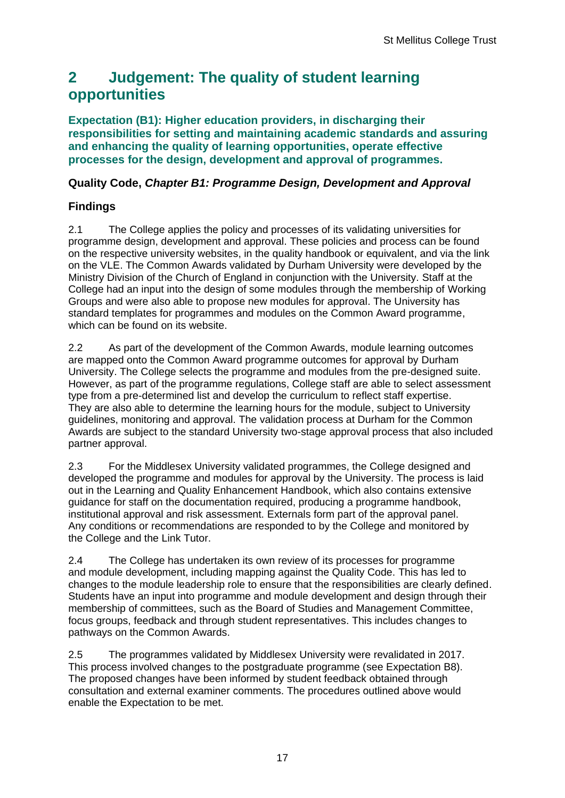## <span id="page-17-0"></span>**2 Judgement: The quality of student learning opportunities**

**Expectation (B1): Higher education providers, in discharging their responsibilities for setting and maintaining academic standards and assuring and enhancing the quality of learning opportunities, operate effective processes for the design, development and approval of programmes.**

### **Quality Code,** *Chapter B1: Programme Design, Development and Approval*

## **Findings**

2.1 The College applies the policy and processes of its validating universities for programme design, development and approval. These policies and process can be found on the respective university websites, in the quality handbook or equivalent, and via the link on the VLE. The Common Awards validated by Durham University were developed by the Ministry Division of the Church of England in conjunction with the University. Staff at the College had an input into the design of some modules through the membership of Working Groups and were also able to propose new modules for approval. The University has standard templates for programmes and modules on the Common Award programme, which can be found on its website.

2.2 As part of the development of the Common Awards, module learning outcomes are mapped onto the Common Award programme outcomes for approval by Durham University. The College selects the programme and modules from the pre-designed suite. However, as part of the programme regulations, College staff are able to select assessment type from a pre-determined list and develop the curriculum to reflect staff expertise. They are also able to determine the learning hours for the module, subject to University guidelines, monitoring and approval. The validation process at Durham for the Common Awards are subject to the standard University two-stage approval process that also included partner approval.

2.3 For the Middlesex University validated programmes, the College designed and developed the programme and modules for approval by the University. The process is laid out in the Learning and Quality Enhancement Handbook, which also contains extensive guidance for staff on the documentation required, producing a programme handbook, institutional approval and risk assessment. Externals form part of the approval panel. Any conditions or recommendations are responded to by the College and monitored by the College and the Link Tutor.

2.4 The College has undertaken its own review of its processes for programme and module development, including mapping against the Quality Code. This has led to changes to the module leadership role to ensure that the responsibilities are clearly defined. Students have an input into programme and module development and design through their membership of committees, such as the Board of Studies and Management Committee, focus groups, feedback and through student representatives. This includes changes to pathways on the Common Awards.

2.5 The programmes validated by Middlesex University were revalidated in 2017. This process involved changes to the postgraduate programme (see Expectation B8). The proposed changes have been informed by student feedback obtained through consultation and external examiner comments. The procedures outlined above would enable the Expectation to be met.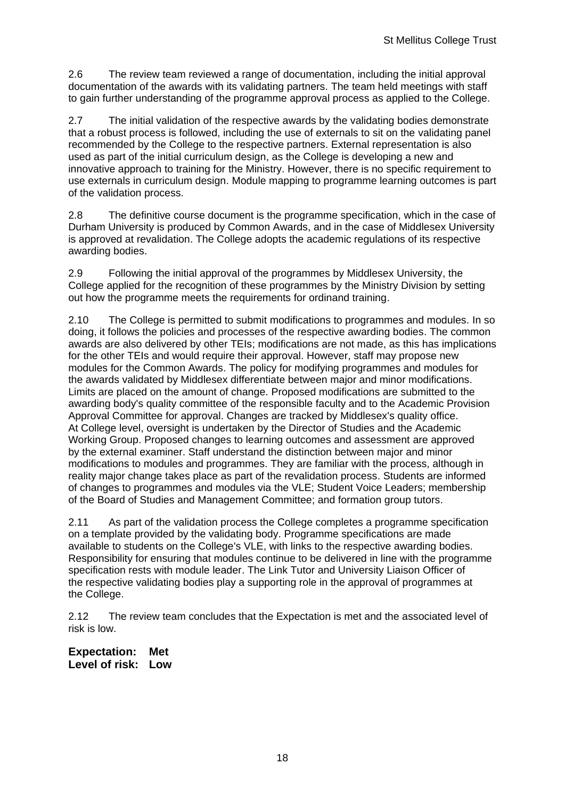2.6 The review team reviewed a range of documentation, including the initial approval documentation of the awards with its validating partners. The team held meetings with staff to gain further understanding of the programme approval process as applied to the College.

2.7 The initial validation of the respective awards by the validating bodies demonstrate that a robust process is followed, including the use of externals to sit on the validating panel recommended by the College to the respective partners. External representation is also used as part of the initial curriculum design, as the College is developing a new and innovative approach to training for the Ministry. However, there is no specific requirement to use externals in curriculum design. Module mapping to programme learning outcomes is part of the validation process.

2.8 The definitive course document is the programme specification, which in the case of Durham University is produced by Common Awards, and in the case of Middlesex University is approved at revalidation. The College adopts the academic regulations of its respective awarding bodies.

2.9 Following the initial approval of the programmes by Middlesex University, the College applied for the recognition of these programmes by the Ministry Division by setting out how the programme meets the requirements for ordinand training.

2.10 The College is permitted to submit modifications to programmes and modules. In so doing, it follows the policies and processes of the respective awarding bodies. The common awards are also delivered by other TEIs; modifications are not made, as this has implications for the other TEIs and would require their approval. However, staff may propose new modules for the Common Awards. The policy for modifying programmes and modules for the awards validated by Middlesex differentiate between major and minor modifications. Limits are placed on the amount of change. Proposed modifications are submitted to the awarding body's quality committee of the responsible faculty and to the Academic Provision Approval Committee for approval. Changes are tracked by Middlesex's quality office. At College level, oversight is undertaken by the Director of Studies and the Academic Working Group. Proposed changes to learning outcomes and assessment are approved by the external examiner. Staff understand the distinction between major and minor modifications to modules and programmes. They are familiar with the process, although in reality major change takes place as part of the revalidation process. Students are informed of changes to programmes and modules via the VLE; Student Voice Leaders; membership of the Board of Studies and Management Committee; and formation group tutors.

2.11 As part of the validation process the College completes a programme specification on a template provided by the validating body. Programme specifications are made available to students on the College's VLE, with links to the respective awarding bodies. Responsibility for ensuring that modules continue to be delivered in line with the programme specification rests with module leader. The Link Tutor and University Liaison Officer of the respective validating bodies play a supporting role in the approval of programmes at the College.

2.12 The review team concludes that the Expectation is met and the associated level of risk is low.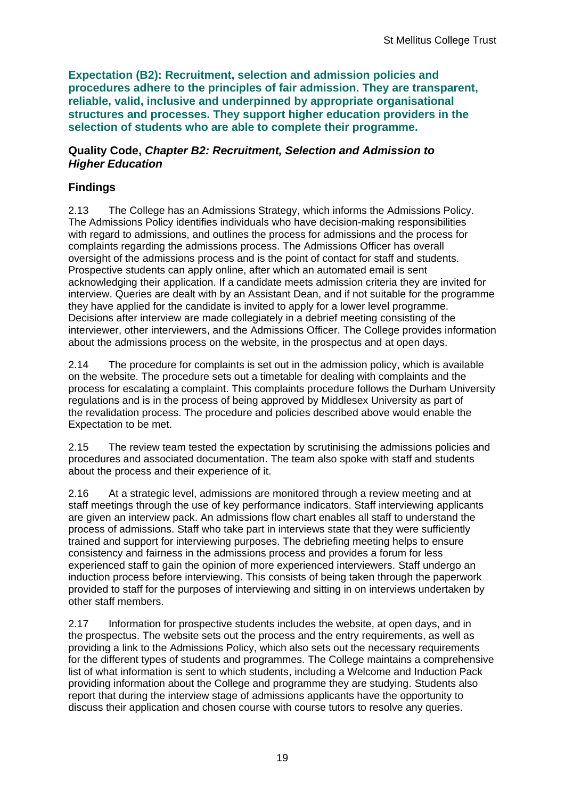**Expectation (B2): Recruitment, selection and admission policies and procedures adhere to the principles of fair admission. They are transparent, reliable, valid, inclusive and underpinned by appropriate organisational structures and processes. They support higher education providers in the selection of students who are able to complete their programme.**

#### **Quality Code,** *Chapter B2: Recruitment, Selection and Admission to Higher Education*

## **Findings**

2.13 The College has an Admissions Strategy, which informs the Admissions Policy. The Admissions Policy identifies individuals who have decision-making responsibilities with regard to admissions, and outlines the process for admissions and the process for complaints regarding the admissions process. The Admissions Officer has overall oversight of the admissions process and is the point of contact for staff and students. Prospective students can apply online, after which an automated email is sent acknowledging their application. If a candidate meets admission criteria they are invited for interview. Queries are dealt with by an Assistant Dean, and if not suitable for the programme they have applied for the candidate is invited to apply for a lower level programme. Decisions after interview are made collegiately in a debrief meeting consisting of the interviewer, other interviewers, and the Admissions Officer. The College provides information about the admissions process on the website, in the prospectus and at open days.

2.14 The procedure for complaints is set out in the admission policy, which is available on the website. The procedure sets out a timetable for dealing with complaints and the process for escalating a complaint. This complaints procedure follows the Durham University regulations and is in the process of being approved by Middlesex University as part of the revalidation process. The procedure and policies described above would enable the Expectation to be met.

2.15 The review team tested the expectation by scrutinising the admissions policies and procedures and associated documentation. The team also spoke with staff and students about the process and their experience of it.

2.16 At a strategic level, admissions are monitored through a review meeting and at staff meetings through the use of key performance indicators. Staff interviewing applicants are given an interview pack. An admissions flow chart enables all staff to understand the process of admissions. Staff who take part in interviews state that they were sufficiently trained and support for interviewing purposes. The debriefing meeting helps to ensure consistency and fairness in the admissions process and provides a forum for less experienced staff to gain the opinion of more experienced interviewers. Staff undergo an induction process before interviewing. This consists of being taken through the paperwork provided to staff for the purposes of interviewing and sitting in on interviews undertaken by other staff members.

2.17 Information for prospective students includes the website, at open days, and in the prospectus. The website sets out the process and the entry requirements, as well as providing a link to the Admissions Policy, which also sets out the necessary requirements for the different types of students and programmes. The College maintains a comprehensive list of what information is sent to which students, including a Welcome and Induction Pack providing information about the College and programme they are studying. Students also report that during the interview stage of admissions applicants have the opportunity to discuss their application and chosen course with course tutors to resolve any queries.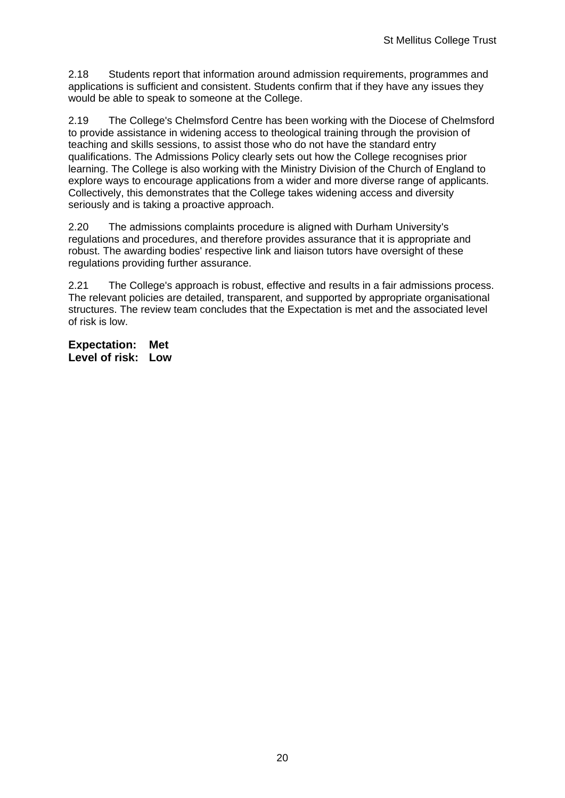2.18 Students report that information around admission requirements, programmes and applications is sufficient and consistent. Students confirm that if they have any issues they would be able to speak to someone at the College.

2.19 The College's Chelmsford Centre has been working with the Diocese of Chelmsford to provide assistance in widening access to theological training through the provision of teaching and skills sessions, to assist those who do not have the standard entry qualifications. The Admissions Policy clearly sets out how the College recognises prior learning. The College is also working with the Ministry Division of the Church of England to explore ways to encourage applications from a wider and more diverse range of applicants. Collectively, this demonstrates that the College takes widening access and diversity seriously and is taking a proactive approach.

2.20 The admissions complaints procedure is aligned with Durham University's regulations and procedures, and therefore provides assurance that it is appropriate and robust. The awarding bodies' respective link and liaison tutors have oversight of these regulations providing further assurance.

2.21 The College's approach is robust, effective and results in a fair admissions process. The relevant policies are detailed, transparent, and supported by appropriate organisational structures. The review team concludes that the Expectation is met and the associated level of risk is low.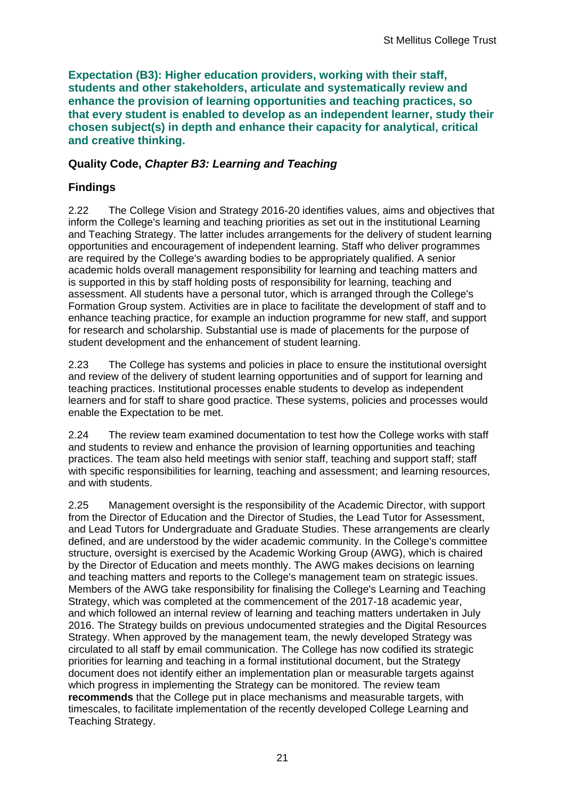**Expectation (B3): Higher education providers, working with their staff, students and other stakeholders, articulate and systematically review and enhance the provision of learning opportunities and teaching practices, so that every student is enabled to develop as an independent learner, study their chosen subject(s) in depth and enhance their capacity for analytical, critical and creative thinking.**

### **Quality Code,** *Chapter B3: Learning and Teaching*

## **Findings**

2.22 The College Vision and Strategy 2016-20 identifies values, aims and objectives that inform the College's learning and teaching priorities as set out in the institutional Learning and Teaching Strategy. The latter includes arrangements for the delivery of student learning opportunities and encouragement of independent learning. Staff who deliver programmes are required by the College's awarding bodies to be appropriately qualified. A senior academic holds overall management responsibility for learning and teaching matters and is supported in this by staff holding posts of responsibility for learning, teaching and assessment. All students have a personal tutor, which is arranged through the College's Formation Group system. Activities are in place to facilitate the development of staff and to enhance teaching practice, for example an induction programme for new staff, and support for research and scholarship. Substantial use is made of placements for the purpose of student development and the enhancement of student learning.

2.23 The College has systems and policies in place to ensure the institutional oversight and review of the delivery of student learning opportunities and of support for learning and teaching practices. Institutional processes enable students to develop as independent learners and for staff to share good practice. These systems, policies and processes would enable the Expectation to be met.

2.24 The review team examined documentation to test how the College works with staff and students to review and enhance the provision of learning opportunities and teaching practices. The team also held meetings with senior staff, teaching and support staff; staff with specific responsibilities for learning, teaching and assessment; and learning resources, and with students.

2.25 Management oversight is the responsibility of the Academic Director, with support from the Director of Education and the Director of Studies, the Lead Tutor for Assessment, and Lead Tutors for Undergraduate and Graduate Studies. These arrangements are clearly defined, and are understood by the wider academic community. In the College's committee structure, oversight is exercised by the Academic Working Group (AWG), which is chaired by the Director of Education and meets monthly. The AWG makes decisions on learning and teaching matters and reports to the College's management team on strategic issues. Members of the AWG take responsibility for finalising the College's Learning and Teaching Strategy, which was completed at the commencement of the 2017-18 academic year, and which followed an internal review of learning and teaching matters undertaken in July 2016. The Strategy builds on previous undocumented strategies and the Digital Resources Strategy. When approved by the management team, the newly developed Strategy was circulated to all staff by email communication. The College has now codified its strategic priorities for learning and teaching in a formal institutional document, but the Strategy document does not identify either an implementation plan or measurable targets against which progress in implementing the Strategy can be monitored. The review team **recommends** that the College put in place mechanisms and measurable targets, with timescales, to facilitate implementation of the recently developed College Learning and Teaching Strategy.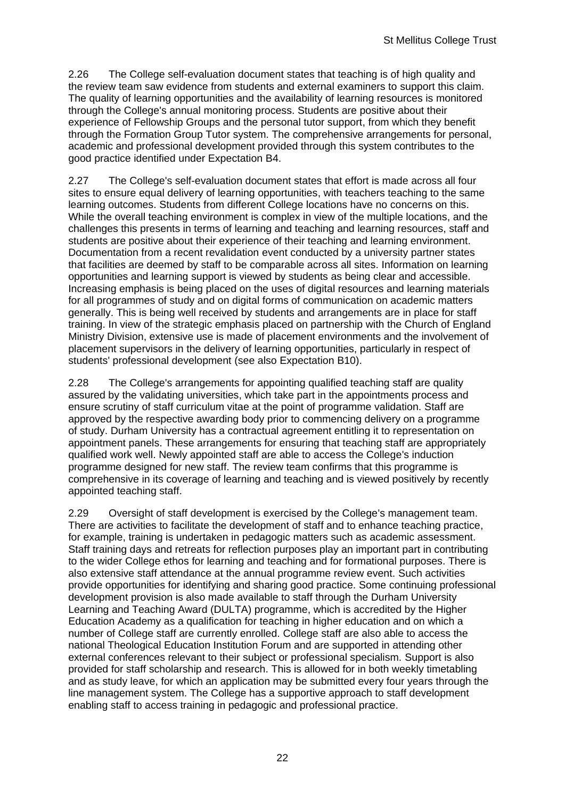2.26 The College self-evaluation document states that teaching is of high quality and the review team saw evidence from students and external examiners to support this claim. The quality of learning opportunities and the availability of learning resources is monitored through the College's annual monitoring process. Students are positive about their experience of Fellowship Groups and the personal tutor support, from which they benefit through the Formation Group Tutor system. The comprehensive arrangements for personal, academic and professional development provided through this system contributes to the good practice identified under Expectation B4.

2.27 The College's self-evaluation document states that effort is made across all four sites to ensure equal delivery of learning opportunities, with teachers teaching to the same learning outcomes. Students from different College locations have no concerns on this. While the overall teaching environment is complex in view of the multiple locations, and the challenges this presents in terms of learning and teaching and learning resources, staff and students are positive about their experience of their teaching and learning environment. Documentation from a recent revalidation event conducted by a university partner states that facilities are deemed by staff to be comparable across all sites. Information on learning opportunities and learning support is viewed by students as being clear and accessible. Increasing emphasis is being placed on the uses of digital resources and learning materials for all programmes of study and on digital forms of communication on academic matters generally. This is being well received by students and arrangements are in place for staff training. In view of the strategic emphasis placed on partnership with the Church of England Ministry Division, extensive use is made of placement environments and the involvement of placement supervisors in the delivery of learning opportunities, particularly in respect of students' professional development (see also Expectation B10).

2.28 The College's arrangements for appointing qualified teaching staff are quality assured by the validating universities, which take part in the appointments process and ensure scrutiny of staff curriculum vitae at the point of programme validation. Staff are approved by the respective awarding body prior to commencing delivery on a programme of study. Durham University has a contractual agreement entitling it to representation on appointment panels. These arrangements for ensuring that teaching staff are appropriately qualified work well. Newly appointed staff are able to access the College's induction programme designed for new staff. The review team confirms that this programme is comprehensive in its coverage of learning and teaching and is viewed positively by recently appointed teaching staff.

2.29 Oversight of staff development is exercised by the College's management team. There are activities to facilitate the development of staff and to enhance teaching practice, for example, training is undertaken in pedagogic matters such as academic assessment. Staff training days and retreats for reflection purposes play an important part in contributing to the wider College ethos for learning and teaching and for formational purposes. There is also extensive staff attendance at the annual programme review event. Such activities provide opportunities for identifying and sharing good practice. Some continuing professional development provision is also made available to staff through the Durham University Learning and Teaching Award (DULTA) programme, which is accredited by the Higher Education Academy as a qualification for teaching in higher education and on which a number of College staff are currently enrolled. College staff are also able to access the national Theological Education Institution Forum and are supported in attending other external conferences relevant to their subject or professional specialism. Support is also provided for staff scholarship and research. This is allowed for in both weekly timetabling and as study leave, for which an application may be submitted every four years through the line management system. The College has a supportive approach to staff development enabling staff to access training in pedagogic and professional practice.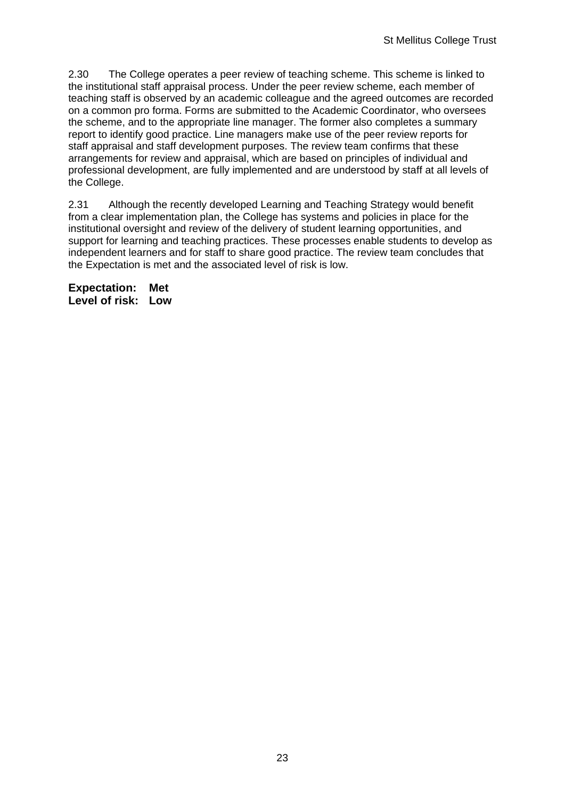2.30 The College operates a peer review of teaching scheme. This scheme is linked to the institutional staff appraisal process. Under the peer review scheme, each member of teaching staff is observed by an academic colleague and the agreed outcomes are recorded on a common pro forma. Forms are submitted to the Academic Coordinator, who oversees the scheme, and to the appropriate line manager. The former also completes a summary report to identify good practice. Line managers make use of the peer review reports for staff appraisal and staff development purposes. The review team confirms that these arrangements for review and appraisal, which are based on principles of individual and professional development, are fully implemented and are understood by staff at all levels of the College.

2.31 Although the recently developed Learning and Teaching Strategy would benefit from a clear implementation plan, the College has systems and policies in place for the institutional oversight and review of the delivery of student learning opportunities, and support for learning and teaching practices. These processes enable students to develop as independent learners and for staff to share good practice. The review team concludes that the Expectation is met and the associated level of risk is low.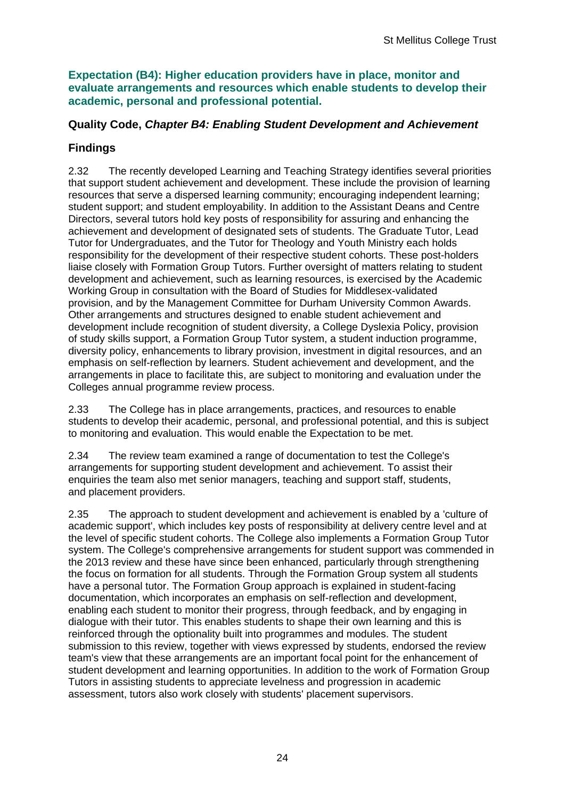**Expectation (B4): Higher education providers have in place, monitor and evaluate arrangements and resources which enable students to develop their academic, personal and professional potential.**

### **Quality Code,** *Chapter B4: Enabling Student Development and Achievement*

### **Findings**

2.32 The recently developed Learning and Teaching Strategy identifies several priorities that support student achievement and development. These include the provision of learning resources that serve a dispersed learning community; encouraging independent learning; student support; and student employability. In addition to the Assistant Deans and Centre Directors, several tutors hold key posts of responsibility for assuring and enhancing the achievement and development of designated sets of students. The Graduate Tutor, Lead Tutor for Undergraduates, and the Tutor for Theology and Youth Ministry each holds responsibility for the development of their respective student cohorts. These post-holders liaise closely with Formation Group Tutors. Further oversight of matters relating to student development and achievement, such as learning resources, is exercised by the Academic Working Group in consultation with the Board of Studies for Middlesex-validated provision, and by the Management Committee for Durham University Common Awards. Other arrangements and structures designed to enable student achievement and development include recognition of student diversity, a College Dyslexia Policy, provision of study skills support, a Formation Group Tutor system, a student induction programme, diversity policy, enhancements to library provision, investment in digital resources, and an emphasis on self-reflection by learners. Student achievement and development, and the arrangements in place to facilitate this, are subject to monitoring and evaluation under the Colleges annual programme review process.

2.33 The College has in place arrangements, practices, and resources to enable students to develop their academic, personal, and professional potential, and this is subject to monitoring and evaluation. This would enable the Expectation to be met.

2.34 The review team examined a range of documentation to test the College's arrangements for supporting student development and achievement. To assist their enquiries the team also met senior managers, teaching and support staff, students, and placement providers.

2.35 The approach to student development and achievement is enabled by a 'culture of academic support', which includes key posts of responsibility at delivery centre level and at the level of specific student cohorts. The College also implements a Formation Group Tutor system. The College's comprehensive arrangements for student support was commended in the 2013 review and these have since been enhanced, particularly through strengthening the focus on formation for all students. Through the Formation Group system all students have a personal tutor. The Formation Group approach is explained in student-facing documentation, which incorporates an emphasis on self-reflection and development, enabling each student to monitor their progress, through feedback, and by engaging in dialogue with their tutor. This enables students to shape their own learning and this is reinforced through the optionality built into programmes and modules. The student submission to this review, together with views expressed by students, endorsed the review team's view that these arrangements are an important focal point for the enhancement of student development and learning opportunities. In addition to the work of Formation Group Tutors in assisting students to appreciate levelness and progression in academic assessment, tutors also work closely with students' placement supervisors.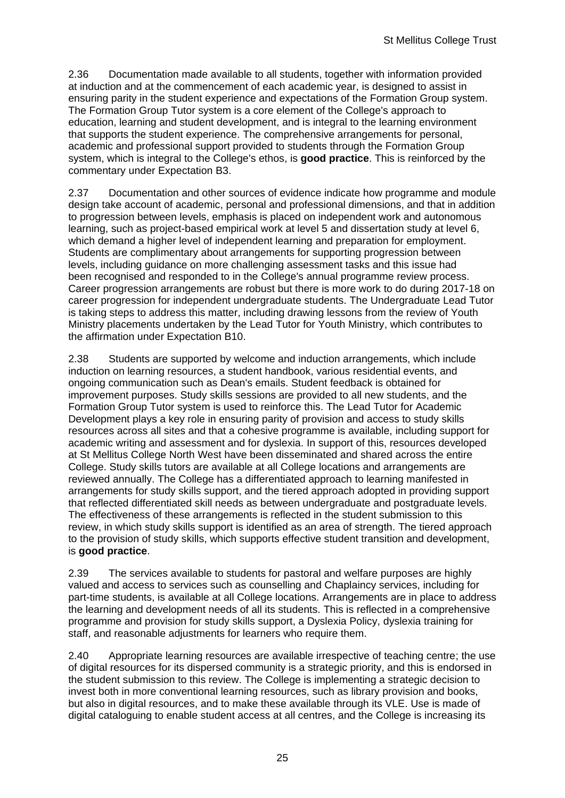2.36 Documentation made available to all students, together with information provided at induction and at the commencement of each academic year, is designed to assist in ensuring parity in the student experience and expectations of the Formation Group system. The Formation Group Tutor system is a core element of the College's approach to education, learning and student development, and is integral to the learning environment that supports the student experience. The comprehensive arrangements for personal, academic and professional support provided to students through the Formation Group system, which is integral to the College's ethos, is **good practice**. This is reinforced by the commentary under Expectation B3.

2.37 Documentation and other sources of evidence indicate how programme and module design take account of academic, personal and professional dimensions, and that in addition to progression between levels, emphasis is placed on independent work and autonomous learning, such as project-based empirical work at level 5 and dissertation study at level 6, which demand a higher level of independent learning and preparation for employment. Students are complimentary about arrangements for supporting progression between levels, including guidance on more challenging assessment tasks and this issue had been recognised and responded to in the College's annual programme review process. Career progression arrangements are robust but there is more work to do during 2017-18 on career progression for independent undergraduate students. The Undergraduate Lead Tutor is taking steps to address this matter, including drawing lessons from the review of Youth Ministry placements undertaken by the Lead Tutor for Youth Ministry, which contributes to the affirmation under Expectation B10.

2.38 Students are supported by welcome and induction arrangements, which include induction on learning resources, a student handbook, various residential events, and ongoing communication such as Dean's emails. Student feedback is obtained for improvement purposes. Study skills sessions are provided to all new students, and the Formation Group Tutor system is used to reinforce this. The Lead Tutor for Academic Development plays a key role in ensuring parity of provision and access to study skills resources across all sites and that a cohesive programme is available, including support for academic writing and assessment and for dyslexia. In support of this, resources developed at St Mellitus College North West have been disseminated and shared across the entire College. Study skills tutors are available at all College locations and arrangements are reviewed annually. The College has a differentiated approach to learning manifested in arrangements for study skills support, and the tiered approach adopted in providing support that reflected differentiated skill needs as between undergraduate and postgraduate levels. The effectiveness of these arrangements is reflected in the student submission to this review, in which study skills support is identified as an area of strength. The tiered approach to the provision of study skills, which supports effective student transition and development, is **good practice**.

2.39 The services available to students for pastoral and welfare purposes are highly valued and access to services such as counselling and Chaplaincy services, including for part-time students, is available at all College locations. Arrangements are in place to address the learning and development needs of all its students. This is reflected in a comprehensive programme and provision for study skills support, a Dyslexia Policy, dyslexia training for staff, and reasonable adjustments for learners who require them.

2.40 Appropriate learning resources are available irrespective of teaching centre; the use of digital resources for its dispersed community is a strategic priority, and this is endorsed in the student submission to this review. The College is implementing a strategic decision to invest both in more conventional learning resources, such as library provision and books, but also in digital resources, and to make these available through its VLE. Use is made of digital cataloguing to enable student access at all centres, and the College is increasing its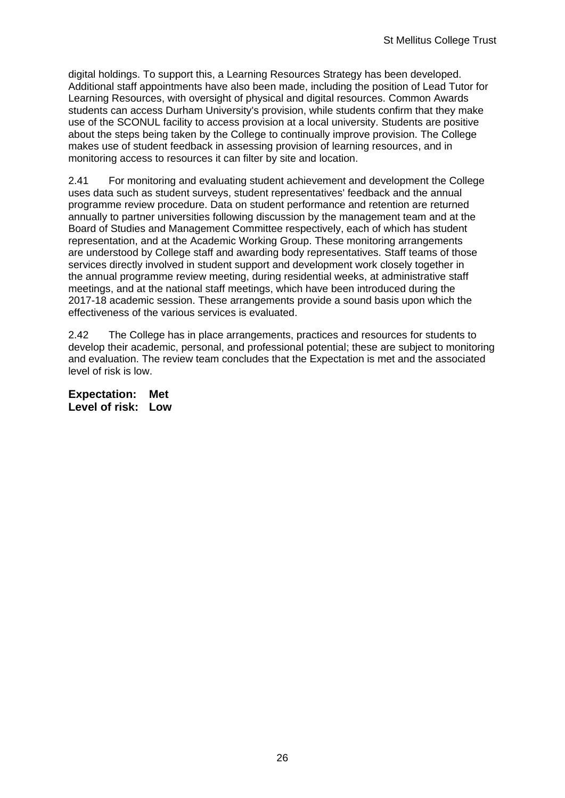digital holdings. To support this, a Learning Resources Strategy has been developed. Additional staff appointments have also been made, including the position of Lead Tutor for Learning Resources, with oversight of physical and digital resources. Common Awards students can access Durham University's provision, while students confirm that they make use of the SCONUL facility to access provision at a local university. Students are positive about the steps being taken by the College to continually improve provision. The College makes use of student feedback in assessing provision of learning resources, and in monitoring access to resources it can filter by site and location.

2.41 For monitoring and evaluating student achievement and development the College uses data such as student surveys, student representatives' feedback and the annual programme review procedure. Data on student performance and retention are returned annually to partner universities following discussion by the management team and at the Board of Studies and Management Committee respectively, each of which has student representation, and at the Academic Working Group. These monitoring arrangements are understood by College staff and awarding body representatives. Staff teams of those services directly involved in student support and development work closely together in the annual programme review meeting, during residential weeks, at administrative staff meetings, and at the national staff meetings, which have been introduced during the 2017-18 academic session. These arrangements provide a sound basis upon which the effectiveness of the various services is evaluated.

2.42 The College has in place arrangements, practices and resources for students to develop their academic, personal, and professional potential; these are subject to monitoring and evaluation. The review team concludes that the Expectation is met and the associated level of risk is low.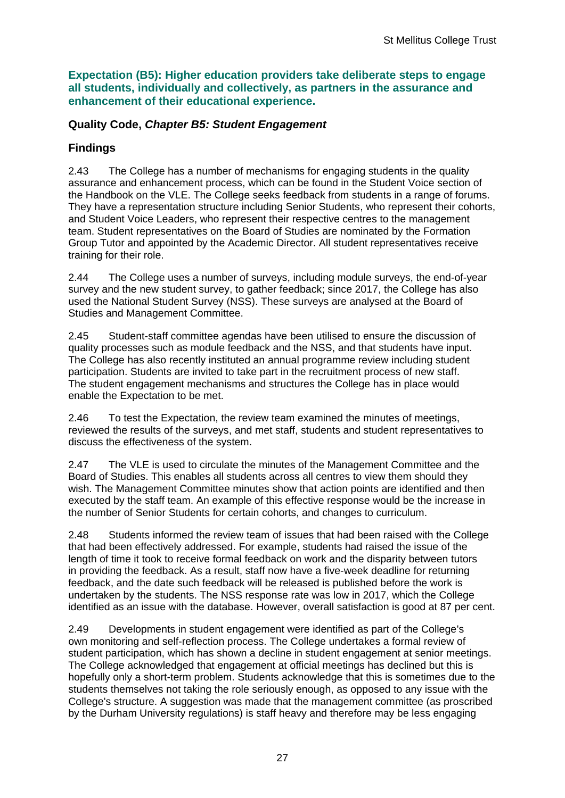**Expectation (B5): Higher education providers take deliberate steps to engage all students, individually and collectively, as partners in the assurance and enhancement of their educational experience.**

### **Quality Code,** *Chapter B5: Student Engagement*

### **Findings**

2.43 The College has a number of mechanisms for engaging students in the quality assurance and enhancement process, which can be found in the Student Voice section of the Handbook on the VLE. The College seeks feedback from students in a range of forums. They have a representation structure including Senior Students, who represent their cohorts, and Student Voice Leaders, who represent their respective centres to the management team. Student representatives on the Board of Studies are nominated by the Formation Group Tutor and appointed by the Academic Director. All student representatives receive training for their role.

2.44 The College uses a number of surveys, including module surveys, the end-of-year survey and the new student survey, to gather feedback; since 2017, the College has also used the National Student Survey (NSS). These surveys are analysed at the Board of Studies and Management Committee.

2.45 Student-staff committee agendas have been utilised to ensure the discussion of quality processes such as module feedback and the NSS, and that students have input. The College has also recently instituted an annual programme review including student participation. Students are invited to take part in the recruitment process of new staff. The student engagement mechanisms and structures the College has in place would enable the Expectation to be met.

2.46 To test the Expectation, the review team examined the minutes of meetings, reviewed the results of the surveys, and met staff, students and student representatives to discuss the effectiveness of the system.

2.47 The VLE is used to circulate the minutes of the Management Committee and the Board of Studies. This enables all students across all centres to view them should they wish. The Management Committee minutes show that action points are identified and then executed by the staff team. An example of this effective response would be the increase in the number of Senior Students for certain cohorts, and changes to curriculum.

2.48 Students informed the review team of issues that had been raised with the College that had been effectively addressed. For example, students had raised the issue of the length of time it took to receive formal feedback on work and the disparity between tutors in providing the feedback. As a result, staff now have a five-week deadline for returning feedback, and the date such feedback will be released is published before the work is undertaken by the students. The NSS response rate was low in 2017, which the College identified as an issue with the database. However, overall satisfaction is good at 87 per cent.

2.49 Developments in student engagement were identified as part of the College's own monitoring and self-reflection process. The College undertakes a formal review of student participation, which has shown a decline in student engagement at senior meetings. The College acknowledged that engagement at official meetings has declined but this is hopefully only a short-term problem. Students acknowledge that this is sometimes due to the students themselves not taking the role seriously enough, as opposed to any issue with the College's structure. A suggestion was made that the management committee (as proscribed by the Durham University regulations) is staff heavy and therefore may be less engaging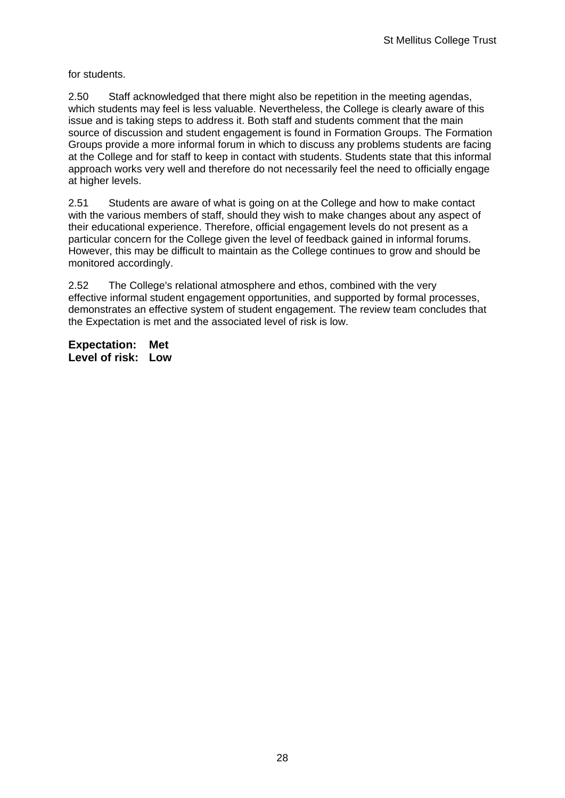for students.

2.50 Staff acknowledged that there might also be repetition in the meeting agendas, which students may feel is less valuable. Nevertheless, the College is clearly aware of this issue and is taking steps to address it. Both staff and students comment that the main source of discussion and student engagement is found in Formation Groups. The Formation Groups provide a more informal forum in which to discuss any problems students are facing at the College and for staff to keep in contact with students. Students state that this informal approach works very well and therefore do not necessarily feel the need to officially engage at higher levels.

2.51 Students are aware of what is going on at the College and how to make contact with the various members of staff, should they wish to make changes about any aspect of their educational experience. Therefore, official engagement levels do not present as a particular concern for the College given the level of feedback gained in informal forums. However, this may be difficult to maintain as the College continues to grow and should be monitored accordingly.

2.52 The College's relational atmosphere and ethos, combined with the very effective informal student engagement opportunities, and supported by formal processes, demonstrates an effective system of student engagement. The review team concludes that the Expectation is met and the associated level of risk is low.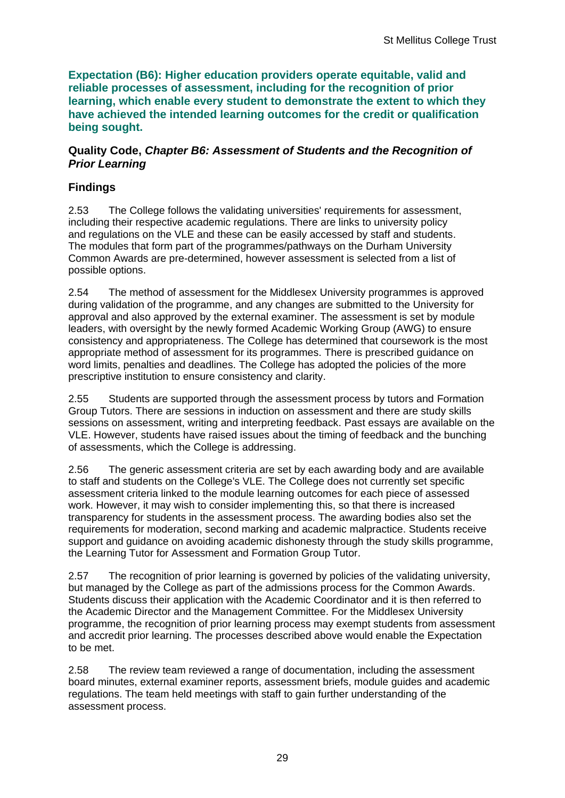**Expectation (B6): Higher education providers operate equitable, valid and reliable processes of assessment, including for the recognition of prior learning, which enable every student to demonstrate the extent to which they have achieved the intended learning outcomes for the credit or qualification being sought.**

### **Quality Code,** *Chapter B6: Assessment of Students and the Recognition of Prior Learning*

## **Findings**

2.53 The College follows the validating universities' requirements for assessment, including their respective academic regulations. There are links to university policy and regulations on the VLE and these can be easily accessed by staff and students. The modules that form part of the programmes/pathways on the Durham University Common Awards are pre-determined, however assessment is selected from a list of possible options.

2.54 The method of assessment for the Middlesex University programmes is approved during validation of the programme, and any changes are submitted to the University for approval and also approved by the external examiner. The assessment is set by module leaders, with oversight by the newly formed Academic Working Group (AWG) to ensure consistency and appropriateness. The College has determined that coursework is the most appropriate method of assessment for its programmes. There is prescribed guidance on word limits, penalties and deadlines. The College has adopted the policies of the more prescriptive institution to ensure consistency and clarity.

2.55 Students are supported through the assessment process by tutors and Formation Group Tutors. There are sessions in induction on assessment and there are study skills sessions on assessment, writing and interpreting feedback. Past essays are available on the VLE. However, students have raised issues about the timing of feedback and the bunching of assessments, which the College is addressing.

2.56 The generic assessment criteria are set by each awarding body and are available to staff and students on the College's VLE. The College does not currently set specific assessment criteria linked to the module learning outcomes for each piece of assessed work. However, it may wish to consider implementing this, so that there is increased transparency for students in the assessment process. The awarding bodies also set the requirements for moderation, second marking and academic malpractice. Students receive support and guidance on avoiding academic dishonesty through the study skills programme, the Learning Tutor for Assessment and Formation Group Tutor.

2.57 The recognition of prior learning is governed by policies of the validating university, but managed by the College as part of the admissions process for the Common Awards. Students discuss their application with the Academic Coordinator and it is then referred to the Academic Director and the Management Committee. For the Middlesex University programme, the recognition of prior learning process may exempt students from assessment and accredit prior learning. The processes described above would enable the Expectation to be met.

2.58 The review team reviewed a range of documentation, including the assessment board minutes, external examiner reports, assessment briefs, module guides and academic regulations. The team held meetings with staff to gain further understanding of the assessment process.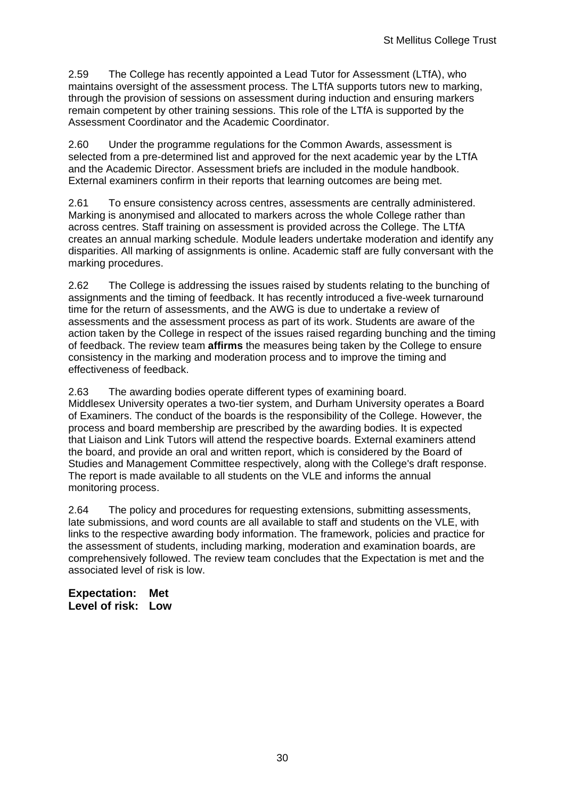2.59 The College has recently appointed a Lead Tutor for Assessment (LTfA), who maintains oversight of the assessment process. The LTfA supports tutors new to marking, through the provision of sessions on assessment during induction and ensuring markers remain competent by other training sessions. This role of the LTfA is supported by the Assessment Coordinator and the Academic Coordinator.

2.60 Under the programme regulations for the Common Awards, assessment is selected from a pre-determined list and approved for the next academic year by the LTfA and the Academic Director. Assessment briefs are included in the module handbook. External examiners confirm in their reports that learning outcomes are being met.

2.61 To ensure consistency across centres, assessments are centrally administered. Marking is anonymised and allocated to markers across the whole College rather than across centres. Staff training on assessment is provided across the College. The LTfA creates an annual marking schedule. Module leaders undertake moderation and identify any disparities. All marking of assignments is online. Academic staff are fully conversant with the marking procedures.

2.62 The College is addressing the issues raised by students relating to the bunching of assignments and the timing of feedback. It has recently introduced a five-week turnaround time for the return of assessments, and the AWG is due to undertake a review of assessments and the assessment process as part of its work. Students are aware of the action taken by the College in respect of the issues raised regarding bunching and the timing of feedback. The review team **affirms** the measures being taken by the College to ensure consistency in the marking and moderation process and to improve the timing and effectiveness of feedback.

2.63 The awarding bodies operate different types of examining board. Middlesex University operates a two-tier system, and Durham University operates a Board of Examiners. The conduct of the boards is the responsibility of the College. However, the process and board membership are prescribed by the awarding bodies. It is expected that Liaison and Link Tutors will attend the respective boards. External examiners attend the board, and provide an oral and written report, which is considered by the Board of Studies and Management Committee respectively, along with the College's draft response. The report is made available to all students on the VLE and informs the annual monitoring process.

2.64 The policy and procedures for requesting extensions, submitting assessments, late submissions, and word counts are all available to staff and students on the VLE, with links to the respective awarding body information. The framework, policies and practice for the assessment of students, including marking, moderation and examination boards, are comprehensively followed. The review team concludes that the Expectation is met and the associated level of risk is low.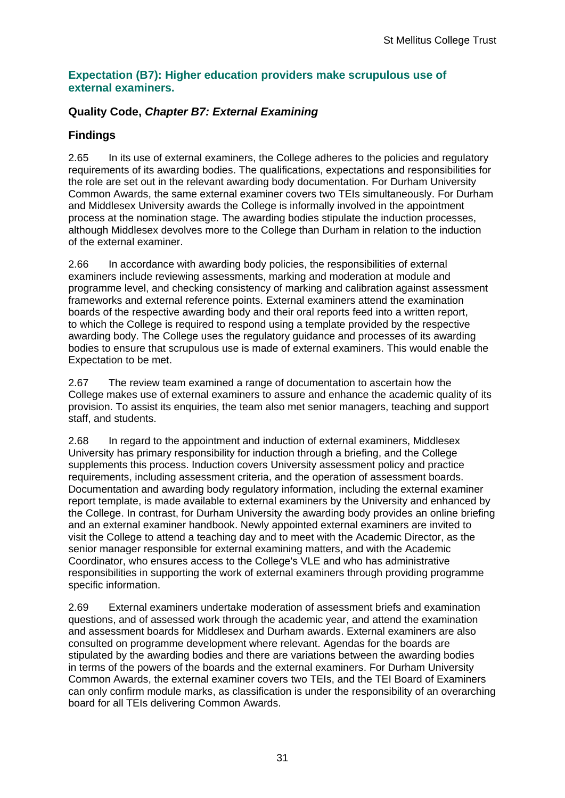#### **Expectation (B7): Higher education providers make scrupulous use of external examiners.**

### **Quality Code,** *Chapter B7: External Examining*

### **Findings**

2.65 In its use of external examiners, the College adheres to the policies and regulatory requirements of its awarding bodies. The qualifications, expectations and responsibilities for the role are set out in the relevant awarding body documentation. For Durham University Common Awards, the same external examiner covers two TEIs simultaneously. For Durham and Middlesex University awards the College is informally involved in the appointment process at the nomination stage. The awarding bodies stipulate the induction processes, although Middlesex devolves more to the College than Durham in relation to the induction of the external examiner.

2.66 In accordance with awarding body policies, the responsibilities of external examiners include reviewing assessments, marking and moderation at module and programme level, and checking consistency of marking and calibration against assessment frameworks and external reference points. External examiners attend the examination boards of the respective awarding body and their oral reports feed into a written report, to which the College is required to respond using a template provided by the respective awarding body. The College uses the regulatory guidance and processes of its awarding bodies to ensure that scrupulous use is made of external examiners. This would enable the Expectation to be met.

2.67 The review team examined a range of documentation to ascertain how the College makes use of external examiners to assure and enhance the academic quality of its provision. To assist its enquiries, the team also met senior managers, teaching and support staff, and students.

2.68 In regard to the appointment and induction of external examiners, Middlesex University has primary responsibility for induction through a briefing, and the College supplements this process. Induction covers University assessment policy and practice requirements, including assessment criteria, and the operation of assessment boards. Documentation and awarding body regulatory information, including the external examiner report template, is made available to external examiners by the University and enhanced by the College. In contrast, for Durham University the awarding body provides an online briefing and an external examiner handbook. Newly appointed external examiners are invited to visit the College to attend a teaching day and to meet with the Academic Director, as the senior manager responsible for external examining matters, and with the Academic Coordinator, who ensures access to the College's VLE and who has administrative responsibilities in supporting the work of external examiners through providing programme specific information.

2.69 External examiners undertake moderation of assessment briefs and examination questions, and of assessed work through the academic year, and attend the examination and assessment boards for Middlesex and Durham awards. External examiners are also consulted on programme development where relevant. Agendas for the boards are stipulated by the awarding bodies and there are variations between the awarding bodies in terms of the powers of the boards and the external examiners. For Durham University Common Awards, the external examiner covers two TEIs, and the TEI Board of Examiners can only confirm module marks, as classification is under the responsibility of an overarching board for all TEIs delivering Common Awards.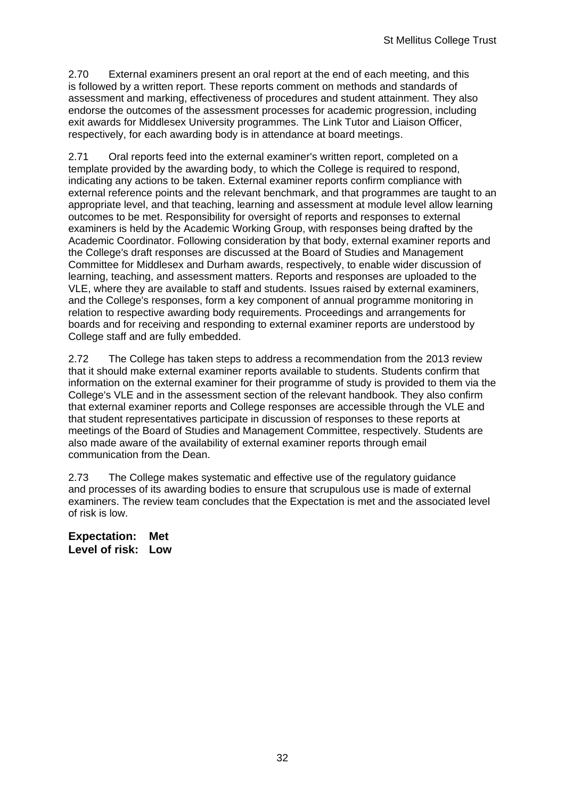2.70 External examiners present an oral report at the end of each meeting, and this is followed by a written report. These reports comment on methods and standards of assessment and marking, effectiveness of procedures and student attainment. They also endorse the outcomes of the assessment processes for academic progression, including exit awards for Middlesex University programmes. The Link Tutor and Liaison Officer, respectively, for each awarding body is in attendance at board meetings.

2.71 Oral reports feed into the external examiner's written report, completed on a template provided by the awarding body, to which the College is required to respond, indicating any actions to be taken. External examiner reports confirm compliance with external reference points and the relevant benchmark, and that programmes are taught to an appropriate level, and that teaching, learning and assessment at module level allow learning outcomes to be met. Responsibility for oversight of reports and responses to external examiners is held by the Academic Working Group, with responses being drafted by the Academic Coordinator. Following consideration by that body, external examiner reports and the College's draft responses are discussed at the Board of Studies and Management Committee for Middlesex and Durham awards, respectively, to enable wider discussion of learning, teaching, and assessment matters. Reports and responses are uploaded to the VLE, where they are available to staff and students. Issues raised by external examiners, and the College's responses, form a key component of annual programme monitoring in relation to respective awarding body requirements. Proceedings and arrangements for boards and for receiving and responding to external examiner reports are understood by College staff and are fully embedded.

2.72 The College has taken steps to address a recommendation from the 2013 review that it should make external examiner reports available to students. Students confirm that information on the external examiner for their programme of study is provided to them via the College's VLE and in the assessment section of the relevant handbook. They also confirm that external examiner reports and College responses are accessible through the VLE and that student representatives participate in discussion of responses to these reports at meetings of the Board of Studies and Management Committee, respectively. Students are also made aware of the availability of external examiner reports through email communication from the Dean.

2.73 The College makes systematic and effective use of the regulatory guidance and processes of its awarding bodies to ensure that scrupulous use is made of external examiners. The review team concludes that the Expectation is met and the associated level of risk is low.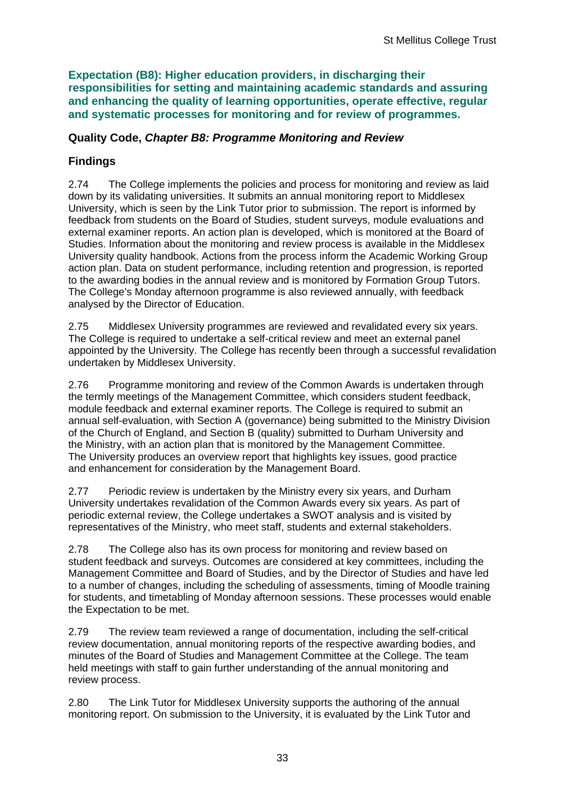**Expectation (B8): Higher education providers, in discharging their responsibilities for setting and maintaining academic standards and assuring and enhancing the quality of learning opportunities, operate effective, regular and systematic processes for monitoring and for review of programmes.**

### **Quality Code,** *Chapter B8: Programme Monitoring and Review*

## **Findings**

2.74 The College implements the policies and process for monitoring and review as laid down by its validating universities. It submits an annual monitoring report to Middlesex University, which is seen by the Link Tutor prior to submission. The report is informed by feedback from students on the Board of Studies, student surveys, module evaluations and external examiner reports. An action plan is developed, which is monitored at the Board of Studies. Information about the monitoring and review process is available in the Middlesex University quality handbook. Actions from the process inform the Academic Working Group action plan. Data on student performance, including retention and progression, is reported to the awarding bodies in the annual review and is monitored by Formation Group Tutors. The College's Monday afternoon programme is also reviewed annually, with feedback analysed by the Director of Education.

2.75 Middlesex University programmes are reviewed and revalidated every six years. The College is required to undertake a self-critical review and meet an external panel appointed by the University. The College has recently been through a successful revalidation undertaken by Middlesex University.

2.76 Programme monitoring and review of the Common Awards is undertaken through the termly meetings of the Management Committee, which considers student feedback, module feedback and external examiner reports. The College is required to submit an annual self-evaluation, with Section A (governance) being submitted to the Ministry Division of the Church of England, and Section B (quality) submitted to Durham University and the Ministry, with an action plan that is monitored by the Management Committee. The University produces an overview report that highlights key issues, good practice and enhancement for consideration by the Management Board.

2.77 Periodic review is undertaken by the Ministry every six years, and Durham University undertakes revalidation of the Common Awards every six years. As part of periodic external review, the College undertakes a SWOT analysis and is visited by representatives of the Ministry, who meet staff, students and external stakeholders.

2.78 The College also has its own process for monitoring and review based on student feedback and surveys. Outcomes are considered at key committees, including the Management Committee and Board of Studies, and by the Director of Studies and have led to a number of changes, including the scheduling of assessments, timing of Moodle training for students, and timetabling of Monday afternoon sessions. These processes would enable the Expectation to be met.

2.79 The review team reviewed a range of documentation, including the self-critical review documentation, annual monitoring reports of the respective awarding bodies, and minutes of the Board of Studies and Management Committee at the College. The team held meetings with staff to gain further understanding of the annual monitoring and review process.

2.80 The Link Tutor for Middlesex University supports the authoring of the annual monitoring report. On submission to the University, it is evaluated by the Link Tutor and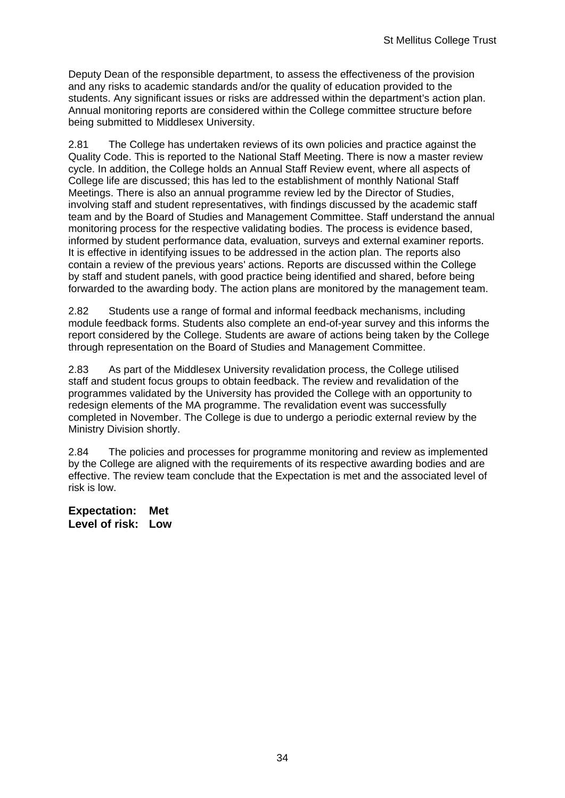Deputy Dean of the responsible department, to assess the effectiveness of the provision and any risks to academic standards and/or the quality of education provided to the students. Any significant issues or risks are addressed within the department's action plan. Annual monitoring reports are considered within the College committee structure before being submitted to Middlesex University.

2.81 The College has undertaken reviews of its own policies and practice against the Quality Code. This is reported to the National Staff Meeting. There is now a master review cycle. In addition, the College holds an Annual Staff Review event, where all aspects of College life are discussed; this has led to the establishment of monthly National Staff Meetings. There is also an annual programme review led by the Director of Studies, involving staff and student representatives, with findings discussed by the academic staff team and by the Board of Studies and Management Committee. Staff understand the annual monitoring process for the respective validating bodies. The process is evidence based, informed by student performance data, evaluation, surveys and external examiner reports. It is effective in identifying issues to be addressed in the action plan. The reports also contain a review of the previous years' actions. Reports are discussed within the College by staff and student panels, with good practice being identified and shared, before being forwarded to the awarding body. The action plans are monitored by the management team.

2.82 Students use a range of formal and informal feedback mechanisms, including module feedback forms. Students also complete an end-of-year survey and this informs the report considered by the College. Students are aware of actions being taken by the College through representation on the Board of Studies and Management Committee.

2.83 As part of the Middlesex University revalidation process, the College utilised staff and student focus groups to obtain feedback. The review and revalidation of the programmes validated by the University has provided the College with an opportunity to redesign elements of the MA programme. The revalidation event was successfully completed in November. The College is due to undergo a periodic external review by the Ministry Division shortly.

2.84 The policies and processes for programme monitoring and review as implemented by the College are aligned with the requirements of its respective awarding bodies and are effective. The review team conclude that the Expectation is met and the associated level of risk is low.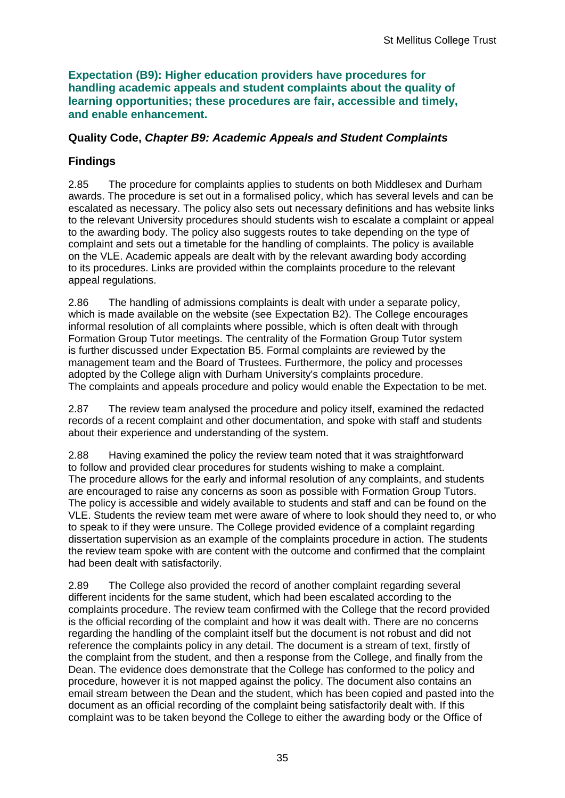**Expectation (B9): Higher education providers have procedures for handling academic appeals and student complaints about the quality of learning opportunities; these procedures are fair, accessible and timely, and enable enhancement.** 

### **Quality Code,** *Chapter B9: Academic Appeals and Student Complaints*

## **Findings**

2.85 The procedure for complaints applies to students on both Middlesex and Durham awards. The procedure is set out in a formalised policy, which has several levels and can be escalated as necessary. The policy also sets out necessary definitions and has website links to the relevant University procedures should students wish to escalate a complaint or appeal to the awarding body. The policy also suggests routes to take depending on the type of complaint and sets out a timetable for the handling of complaints. The policy is available on the VLE. Academic appeals are dealt with by the relevant awarding body according to its procedures. Links are provided within the complaints procedure to the relevant appeal regulations.

2.86 The handling of admissions complaints is dealt with under a separate policy, which is made available on the website (see Expectation B2). The College encourages informal resolution of all complaints where possible, which is often dealt with through Formation Group Tutor meetings. The centrality of the Formation Group Tutor system is further discussed under Expectation B5. Formal complaints are reviewed by the management team and the Board of Trustees. Furthermore, the policy and processes adopted by the College align with Durham University's complaints procedure. The complaints and appeals procedure and policy would enable the Expectation to be met.

2.87 The review team analysed the procedure and policy itself, examined the redacted records of a recent complaint and other documentation, and spoke with staff and students about their experience and understanding of the system.

2.88 Having examined the policy the review team noted that it was straightforward to follow and provided clear procedures for students wishing to make a complaint. The procedure allows for the early and informal resolution of any complaints, and students are encouraged to raise any concerns as soon as possible with Formation Group Tutors. The policy is accessible and widely available to students and staff and can be found on the VLE. Students the review team met were aware of where to look should they need to, or who to speak to if they were unsure. The College provided evidence of a complaint regarding dissertation supervision as an example of the complaints procedure in action. The students the review team spoke with are content with the outcome and confirmed that the complaint had been dealt with satisfactorily.

2.89 The College also provided the record of another complaint regarding several different incidents for the same student, which had been escalated according to the complaints procedure. The review team confirmed with the College that the record provided is the official recording of the complaint and how it was dealt with. There are no concerns regarding the handling of the complaint itself but the document is not robust and did not reference the complaints policy in any detail. The document is a stream of text, firstly of the complaint from the student, and then a response from the College, and finally from the Dean. The evidence does demonstrate that the College has conformed to the policy and procedure, however it is not mapped against the policy. The document also contains an email stream between the Dean and the student, which has been copied and pasted into the document as an official recording of the complaint being satisfactorily dealt with. If this complaint was to be taken beyond the College to either the awarding body or the Office of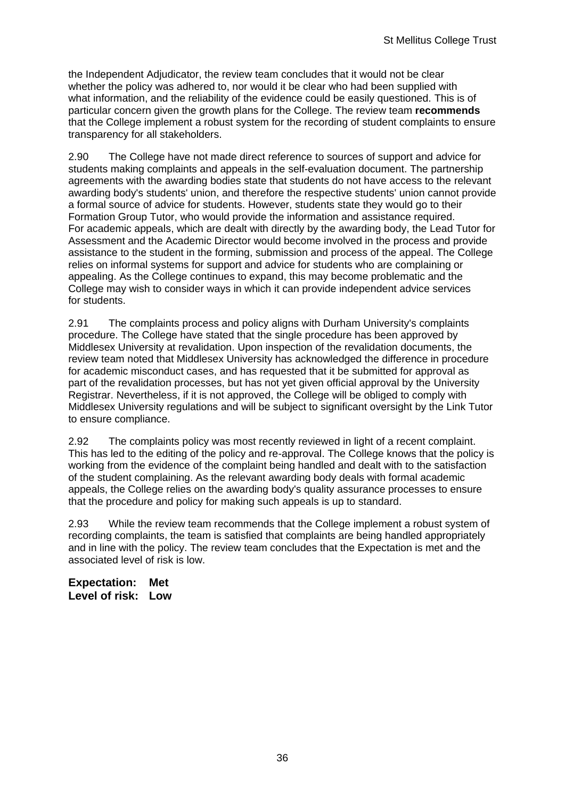the Independent Adjudicator, the review team concludes that it would not be clear whether the policy was adhered to, nor would it be clear who had been supplied with what information, and the reliability of the evidence could be easily questioned. This is of particular concern given the growth plans for the College. The review team **recommends** that the College implement a robust system for the recording of student complaints to ensure transparency for all stakeholders.

2.90 The College have not made direct reference to sources of support and advice for students making complaints and appeals in the self-evaluation document. The partnership agreements with the awarding bodies state that students do not have access to the relevant awarding body's students' union, and therefore the respective students' union cannot provide a formal source of advice for students. However, students state they would go to their Formation Group Tutor, who would provide the information and assistance required. For academic appeals, which are dealt with directly by the awarding body, the Lead Tutor for Assessment and the Academic Director would become involved in the process and provide assistance to the student in the forming, submission and process of the appeal. The College relies on informal systems for support and advice for students who are complaining or appealing. As the College continues to expand, this may become problematic and the College may wish to consider ways in which it can provide independent advice services for students.

2.91 The complaints process and policy aligns with Durham University's complaints procedure. The College have stated that the single procedure has been approved by Middlesex University at revalidation. Upon inspection of the revalidation documents, the review team noted that Middlesex University has acknowledged the difference in procedure for academic misconduct cases, and has requested that it be submitted for approval as part of the revalidation processes, but has not yet given official approval by the University Registrar. Nevertheless, if it is not approved, the College will be obliged to comply with Middlesex University regulations and will be subject to significant oversight by the Link Tutor to ensure compliance.

2.92 The complaints policy was most recently reviewed in light of a recent complaint. This has led to the editing of the policy and re-approval. The College knows that the policy is working from the evidence of the complaint being handled and dealt with to the satisfaction of the student complaining. As the relevant awarding body deals with formal academic appeals, the College relies on the awarding body's quality assurance processes to ensure that the procedure and policy for making such appeals is up to standard.

2.93 While the review team recommends that the College implement a robust system of recording complaints, the team is satisfied that complaints are being handled appropriately and in line with the policy. The review team concludes that the Expectation is met and the associated level of risk is low.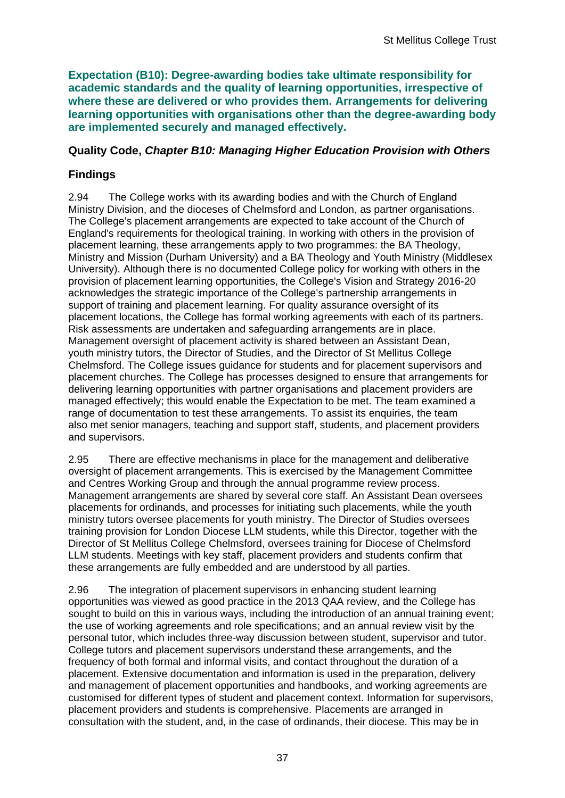**Expectation (B10): Degree-awarding bodies take ultimate responsibility for academic standards and the quality of learning opportunities, irrespective of where these are delivered or who provides them. Arrangements for delivering learning opportunities with organisations other than the degree-awarding body are implemented securely and managed effectively.**

### **Quality Code,** *Chapter B10: Managing Higher Education Provision with Others*

## **Findings**

2.94 The College works with its awarding bodies and with the Church of England Ministry Division, and the dioceses of Chelmsford and London, as partner organisations. The College's placement arrangements are expected to take account of the Church of England's requirements for theological training. In working with others in the provision of placement learning, these arrangements apply to two programmes: the BA Theology, Ministry and Mission (Durham University) and a BA Theology and Youth Ministry (Middlesex University). Although there is no documented College policy for working with others in the provision of placement learning opportunities, the College's Vision and Strategy 2016-20 acknowledges the strategic importance of the College's partnership arrangements in support of training and placement learning. For quality assurance oversight of its placement locations, the College has formal working agreements with each of its partners. Risk assessments are undertaken and safeguarding arrangements are in place. Management oversight of placement activity is shared between an Assistant Dean, youth ministry tutors, the Director of Studies, and the Director of St Mellitus College Chelmsford. The College issues guidance for students and for placement supervisors and placement churches. The College has processes designed to ensure that arrangements for delivering learning opportunities with partner organisations and placement providers are managed effectively; this would enable the Expectation to be met. The team examined a range of documentation to test these arrangements. To assist its enquiries, the team also met senior managers, teaching and support staff, students, and placement providers and supervisors.

2.95 There are effective mechanisms in place for the management and deliberative oversight of placement arrangements. This is exercised by the Management Committee and Centres Working Group and through the annual programme review process. Management arrangements are shared by several core staff. An Assistant Dean oversees placements for ordinands, and processes for initiating such placements, while the youth ministry tutors oversee placements for youth ministry. The Director of Studies oversees training provision for London Diocese LLM students, while this Director, together with the Director of St Mellitus College Chelmsford, oversees training for Diocese of Chelmsford LLM students. Meetings with key staff, placement providers and students confirm that these arrangements are fully embedded and are understood by all parties.

2.96 The integration of placement supervisors in enhancing student learning opportunities was viewed as good practice in the 2013 QAA review, and the College has sought to build on this in various ways, including the introduction of an annual training event; the use of working agreements and role specifications; and an annual review visit by the personal tutor, which includes three-way discussion between student, supervisor and tutor. College tutors and placement supervisors understand these arrangements, and the frequency of both formal and informal visits, and contact throughout the duration of a placement. Extensive documentation and information is used in the preparation, delivery and management of placement opportunities and handbooks, and working agreements are customised for different types of student and placement context. Information for supervisors, placement providers and students is comprehensive. Placements are arranged in consultation with the student, and, in the case of ordinands, their diocese. This may be in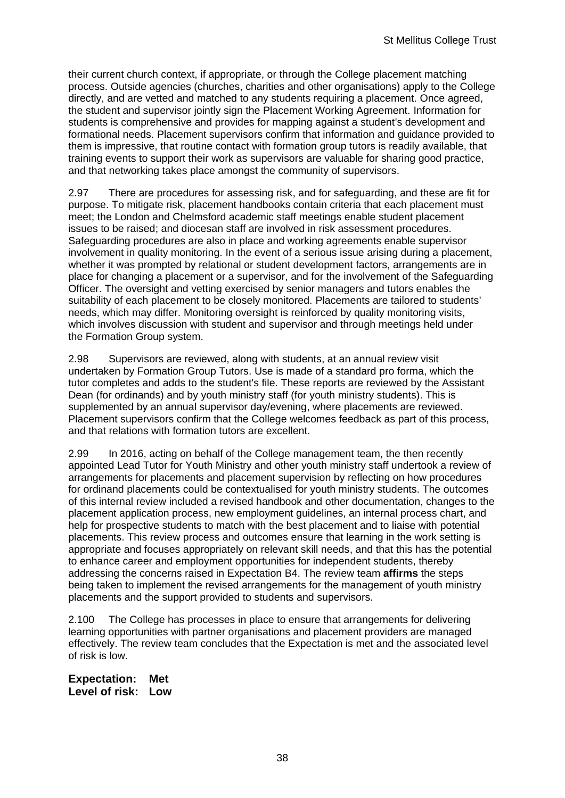their current church context, if appropriate, or through the College placement matching process. Outside agencies (churches, charities and other organisations) apply to the College directly, and are vetted and matched to any students requiring a placement. Once agreed, the student and supervisor jointly sign the Placement Working Agreement. Information for students is comprehensive and provides for mapping against a student's development and formational needs. Placement supervisors confirm that information and guidance provided to them is impressive, that routine contact with formation group tutors is readily available, that training events to support their work as supervisors are valuable for sharing good practice, and that networking takes place amongst the community of supervisors.

2.97 There are procedures for assessing risk, and for safeguarding, and these are fit for purpose. To mitigate risk, placement handbooks contain criteria that each placement must meet; the London and Chelmsford academic staff meetings enable student placement issues to be raised; and diocesan staff are involved in risk assessment procedures. Safeguarding procedures are also in place and working agreements enable supervisor involvement in quality monitoring. In the event of a serious issue arising during a placement, whether it was prompted by relational or student development factors, arrangements are in place for changing a placement or a supervisor, and for the involvement of the Safeguarding Officer. The oversight and vetting exercised by senior managers and tutors enables the suitability of each placement to be closely monitored. Placements are tailored to students' needs, which may differ. Monitoring oversight is reinforced by quality monitoring visits, which involves discussion with student and supervisor and through meetings held under the Formation Group system.

2.98 Supervisors are reviewed, along with students, at an annual review visit undertaken by Formation Group Tutors. Use is made of a standard pro forma, which the tutor completes and adds to the student's file. These reports are reviewed by the Assistant Dean (for ordinands) and by youth ministry staff (for youth ministry students). This is supplemented by an annual supervisor day/evening, where placements are reviewed. Placement supervisors confirm that the College welcomes feedback as part of this process, and that relations with formation tutors are excellent.

2.99 In 2016, acting on behalf of the College management team, the then recently appointed Lead Tutor for Youth Ministry and other youth ministry staff undertook a review of arrangements for placements and placement supervision by reflecting on how procedures for ordinand placements could be contextualised for youth ministry students. The outcomes of this internal review included a revised handbook and other documentation, changes to the placement application process, new employment guidelines, an internal process chart, and help for prospective students to match with the best placement and to liaise with potential placements. This review process and outcomes ensure that learning in the work setting is appropriate and focuses appropriately on relevant skill needs, and that this has the potential to enhance career and employment opportunities for independent students, thereby addressing the concerns raised in Expectation B4. The review team **affirms** the steps being taken to implement the revised arrangements for the management of youth ministry placements and the support provided to students and supervisors.

2.100 The College has processes in place to ensure that arrangements for delivering learning opportunities with partner organisations and placement providers are managed effectively. The review team concludes that the Expectation is met and the associated level of risk is low.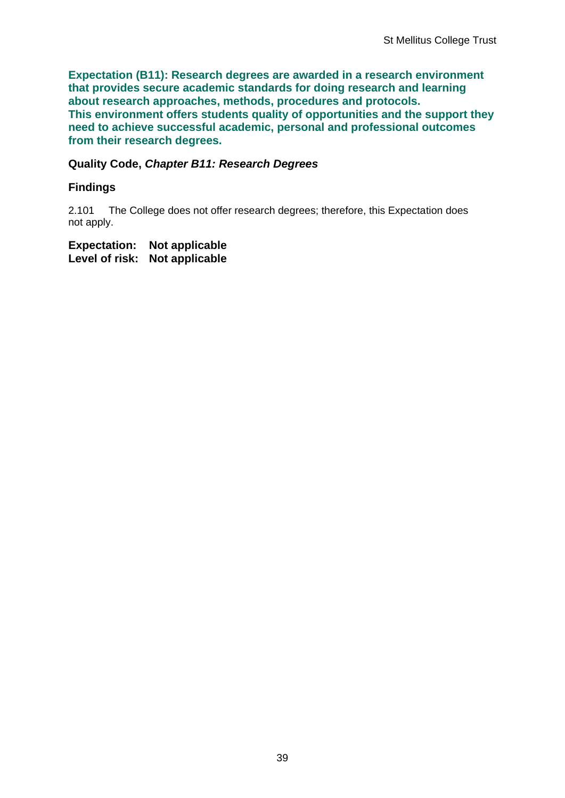**Expectation (B11): Research degrees are awarded in a research environment that provides secure academic standards for doing research and learning about research approaches, methods, procedures and protocols. This environment offers students quality of opportunities and the support they need to achieve successful academic, personal and professional outcomes from their research degrees.**

### **Quality Code,** *Chapter B11: Research Degrees*

### **Findings**

2.101 The College does not offer research degrees; therefore, this Expectation does not apply.

**Expectation: Not applicable Level of risk: Not applicable**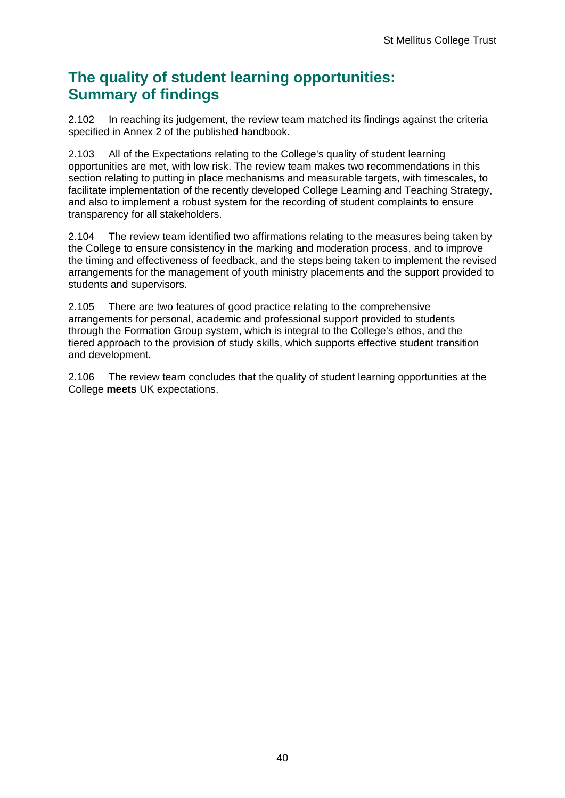## **The quality of student learning opportunities: Summary of findings**

2.102 In reaching its judgement, the review team matched its findings against the criteria specified in Annex 2 of the published handbook.

2.103 All of the Expectations relating to the College's quality of student learning opportunities are met, with low risk. The review team makes two recommendations in this section relating to putting in place mechanisms and measurable targets, with timescales, to facilitate implementation of the recently developed College Learning and Teaching Strategy, and also to implement a robust system for the recording of student complaints to ensure transparency for all stakeholders.

2.104 The review team identified two affirmations relating to the measures being taken by the College to ensure consistency in the marking and moderation process, and to improve the timing and effectiveness of feedback, and the steps being taken to implement the revised arrangements for the management of youth ministry placements and the support provided to students and supervisors.

2.105 There are two features of good practice relating to the comprehensive arrangements for personal, academic and professional support provided to students through the Formation Group system, which is integral to the College's ethos, and the tiered approach to the provision of study skills, which supports effective student transition and development.

2.106 The review team concludes that the quality of student learning opportunities at the College **meets** UK expectations.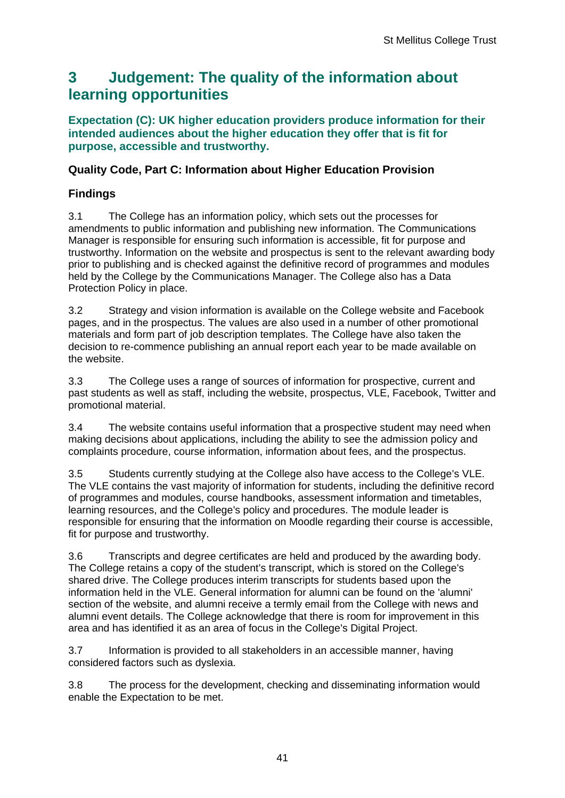## <span id="page-41-0"></span>**3 Judgement: The quality of the information about learning opportunities**

**Expectation (C): UK higher education providers produce information for their intended audiences about the higher education they offer that is fit for purpose, accessible and trustworthy.**

### **Quality Code, Part C: Information about Higher Education Provision**

## **Findings**

3.1 The College has an information policy, which sets out the processes for amendments to public information and publishing new information. The Communications Manager is responsible for ensuring such information is accessible, fit for purpose and trustworthy. Information on the website and prospectus is sent to the relevant awarding body prior to publishing and is checked against the definitive record of programmes and modules held by the College by the Communications Manager. The College also has a Data Protection Policy in place.

3.2 Strategy and vision information is available on the College website and Facebook pages, and in the prospectus. The values are also used in a number of other promotional materials and form part of job description templates. The College have also taken the decision to re-commence publishing an annual report each year to be made available on the website.

3.3 The College uses a range of sources of information for prospective, current and past students as well as staff, including the website, prospectus, VLE, Facebook, Twitter and promotional material.

3.4 The website contains useful information that a prospective student may need when making decisions about applications, including the ability to see the admission policy and complaints procedure, course information, information about fees, and the prospectus.

3.5 Students currently studying at the College also have access to the College's VLE. The VLE contains the vast majority of information for students, including the definitive record of programmes and modules, course handbooks, assessment information and timetables, learning resources, and the College's policy and procedures. The module leader is responsible for ensuring that the information on Moodle regarding their course is accessible, fit for purpose and trustworthy.

3.6 Transcripts and degree certificates are held and produced by the awarding body. The College retains a copy of the student's transcript, which is stored on the College's shared drive. The College produces interim transcripts for students based upon the information held in the VLE. General information for alumni can be found on the 'alumni' section of the website, and alumni receive a termly email from the College with news and alumni event details. The College acknowledge that there is room for improvement in this area and has identified it as an area of focus in the College's Digital Project.

3.7 Information is provided to all stakeholders in an accessible manner, having considered factors such as dyslexia.

3.8 The process for the development, checking and disseminating information would enable the Expectation to be met.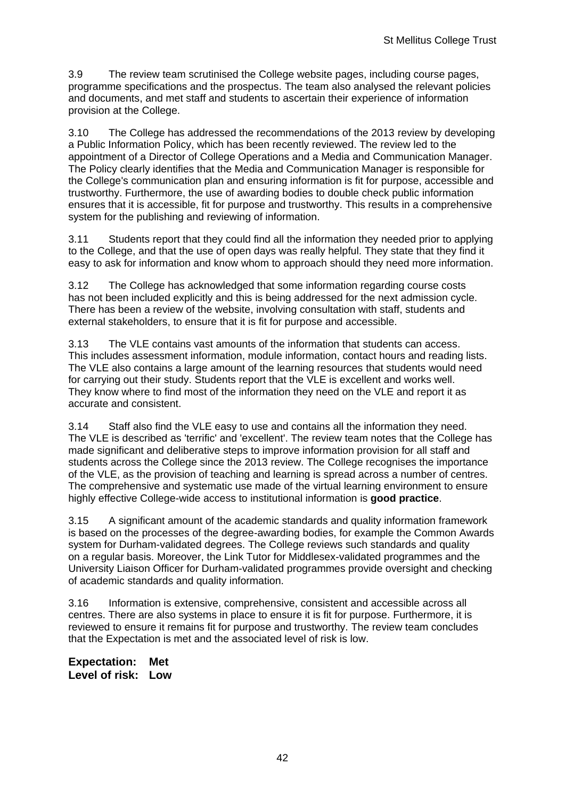3.9 The review team scrutinised the College website pages, including course pages, programme specifications and the prospectus. The team also analysed the relevant policies and documents, and met staff and students to ascertain their experience of information provision at the College.

3.10 The College has addressed the recommendations of the 2013 review by developing a Public Information Policy, which has been recently reviewed. The review led to the appointment of a Director of College Operations and a Media and Communication Manager. The Policy clearly identifies that the Media and Communication Manager is responsible for the College's communication plan and ensuring information is fit for purpose, accessible and trustworthy. Furthermore, the use of awarding bodies to double check public information ensures that it is accessible, fit for purpose and trustworthy. This results in a comprehensive system for the publishing and reviewing of information.

3.11 Students report that they could find all the information they needed prior to applying to the College, and that the use of open days was really helpful. They state that they find it easy to ask for information and know whom to approach should they need more information.

3.12 The College has acknowledged that some information regarding course costs has not been included explicitly and this is being addressed for the next admission cycle. There has been a review of the website, involving consultation with staff, students and external stakeholders, to ensure that it is fit for purpose and accessible.

3.13 The VLE contains vast amounts of the information that students can access. This includes assessment information, module information, contact hours and reading lists. The VLE also contains a large amount of the learning resources that students would need for carrying out their study. Students report that the VLE is excellent and works well. They know where to find most of the information they need on the VLE and report it as accurate and consistent.

3.14 Staff also find the VLE easy to use and contains all the information they need. The VLE is described as 'terrific' and 'excellent'. The review team notes that the College has made significant and deliberative steps to improve information provision for all staff and students across the College since the 2013 review. The College recognises the importance of the VLE, as the provision of teaching and learning is spread across a number of centres. The comprehensive and systematic use made of the virtual learning environment to ensure highly effective College-wide access to institutional information is **good practice**.

3.15 A significant amount of the academic standards and quality information framework is based on the processes of the degree-awarding bodies, for example the Common Awards system for Durham-validated degrees. The College reviews such standards and quality on a regular basis. Moreover, the Link Tutor for Middlesex-validated programmes and the University Liaison Officer for Durham-validated programmes provide oversight and checking of academic standards and quality information.

3.16 Information is extensive, comprehensive, consistent and accessible across all centres. There are also systems in place to ensure it is fit for purpose. Furthermore, it is reviewed to ensure it remains fit for purpose and trustworthy. The review team concludes that the Expectation is met and the associated level of risk is low.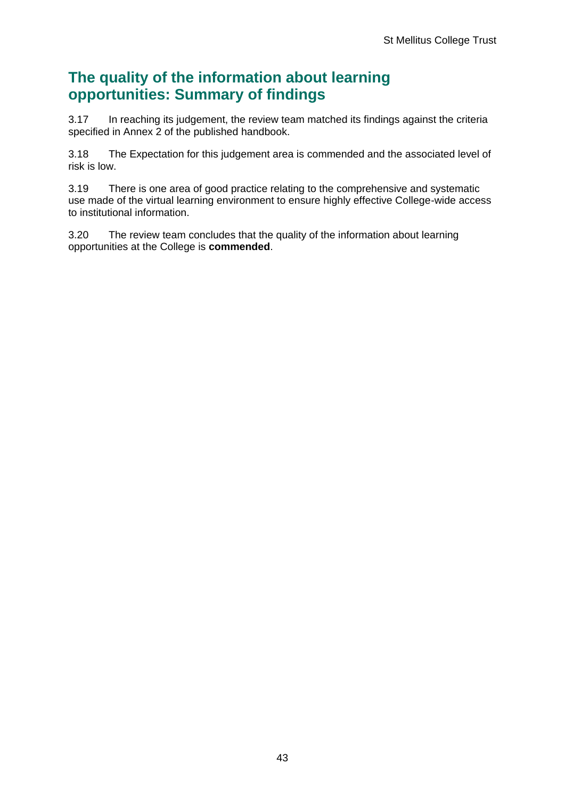## **The quality of the information about learning opportunities: Summary of findings**

3.17 In reaching its judgement, the review team matched its findings against the criteria specified in Annex 2 of the published handbook.

3.18 The Expectation for this judgement area is commended and the associated level of risk is low.

3.19 There is one area of good practice relating to the comprehensive and systematic use made of the virtual learning environment to ensure highly effective College-wide access to institutional information.

3.20 The review team concludes that the quality of the information about learning opportunities at the College is **commended**.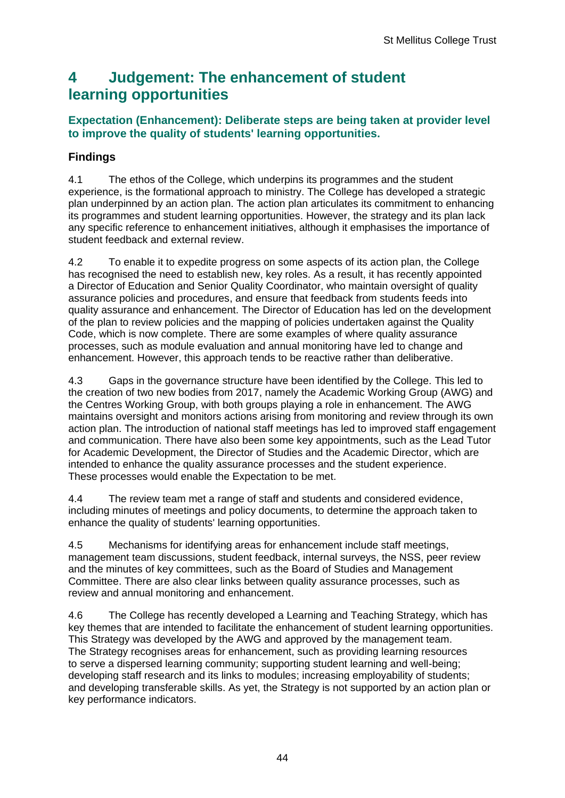## <span id="page-44-0"></span>**4 Judgement: The enhancement of student learning opportunities**

### **Expectation (Enhancement): Deliberate steps are being taken at provider level to improve the quality of students' learning opportunities.**

## **Findings**

4.1 The ethos of the College, which underpins its programmes and the student experience, is the formational approach to ministry. The College has developed a strategic plan underpinned by an action plan. The action plan articulates its commitment to enhancing its programmes and student learning opportunities. However, the strategy and its plan lack any specific reference to enhancement initiatives, although it emphasises the importance of student feedback and external review.

4.2 To enable it to expedite progress on some aspects of its action plan, the College has recognised the need to establish new, key roles. As a result, it has recently appointed a Director of Education and Senior Quality Coordinator, who maintain oversight of quality assurance policies and procedures, and ensure that feedback from students feeds into quality assurance and enhancement. The Director of Education has led on the development of the plan to review policies and the mapping of policies undertaken against the Quality Code, which is now complete. There are some examples of where quality assurance processes, such as module evaluation and annual monitoring have led to change and enhancement. However, this approach tends to be reactive rather than deliberative.

4.3 Gaps in the governance structure have been identified by the College. This led to the creation of two new bodies from 2017, namely the Academic Working Group (AWG) and the Centres Working Group, with both groups playing a role in enhancement. The AWG maintains oversight and monitors actions arising from monitoring and review through its own action plan. The introduction of national staff meetings has led to improved staff engagement and communication. There have also been some key appointments, such as the Lead Tutor for Academic Development, the Director of Studies and the Academic Director, which are intended to enhance the quality assurance processes and the student experience. These processes would enable the Expectation to be met.

4.4 The review team met a range of staff and students and considered evidence, including minutes of meetings and policy documents, to determine the approach taken to enhance the quality of students' learning opportunities.

4.5 Mechanisms for identifying areas for enhancement include staff meetings, management team discussions, student feedback, internal surveys, the NSS, peer review and the minutes of key committees, such as the Board of Studies and Management Committee. There are also clear links between quality assurance processes, such as review and annual monitoring and enhancement.

4.6 The College has recently developed a Learning and Teaching Strategy, which has key themes that are intended to facilitate the enhancement of student learning opportunities. This Strategy was developed by the AWG and approved by the management team. The Strategy recognises areas for enhancement, such as providing learning resources to serve a dispersed learning community; supporting student learning and well-being; developing staff research and its links to modules; increasing employability of students; and developing transferable skills. As yet, the Strategy is not supported by an action plan or key performance indicators.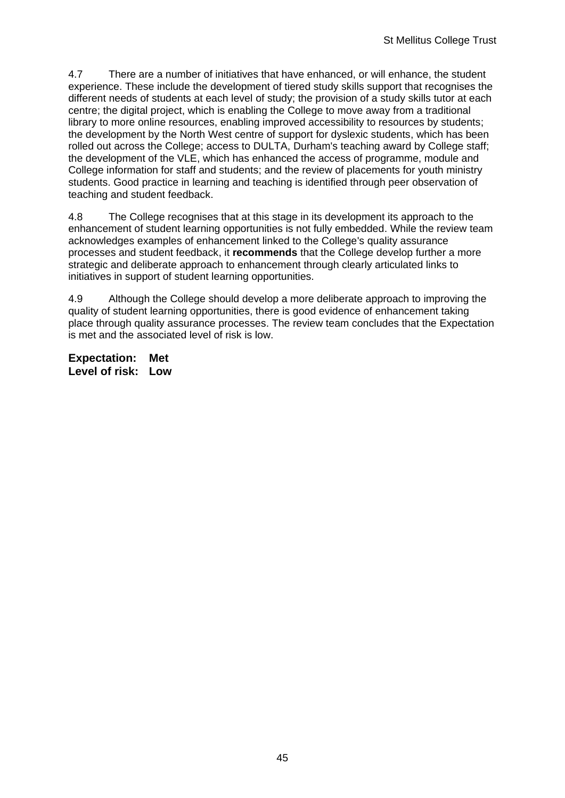4.7 There are a number of initiatives that have enhanced, or will enhance, the student experience. These include the development of tiered study skills support that recognises the different needs of students at each level of study; the provision of a study skills tutor at each centre; the digital project, which is enabling the College to move away from a traditional library to more online resources, enabling improved accessibility to resources by students; the development by the North West centre of support for dyslexic students, which has been rolled out across the College; access to DULTA, Durham's teaching award by College staff; the development of the VLE, which has enhanced the access of programme, module and College information for staff and students; and the review of placements for youth ministry students. Good practice in learning and teaching is identified through peer observation of teaching and student feedback.

4.8 The College recognises that at this stage in its development its approach to the enhancement of student learning opportunities is not fully embedded. While the review team acknowledges examples of enhancement linked to the College's quality assurance processes and student feedback, it **recommends** that the College develop further a more strategic and deliberate approach to enhancement through clearly articulated links to initiatives in support of student learning opportunities.

4.9 Although the College should develop a more deliberate approach to improving the quality of student learning opportunities, there is good evidence of enhancement taking place through quality assurance processes. The review team concludes that the Expectation is met and the associated level of risk is low.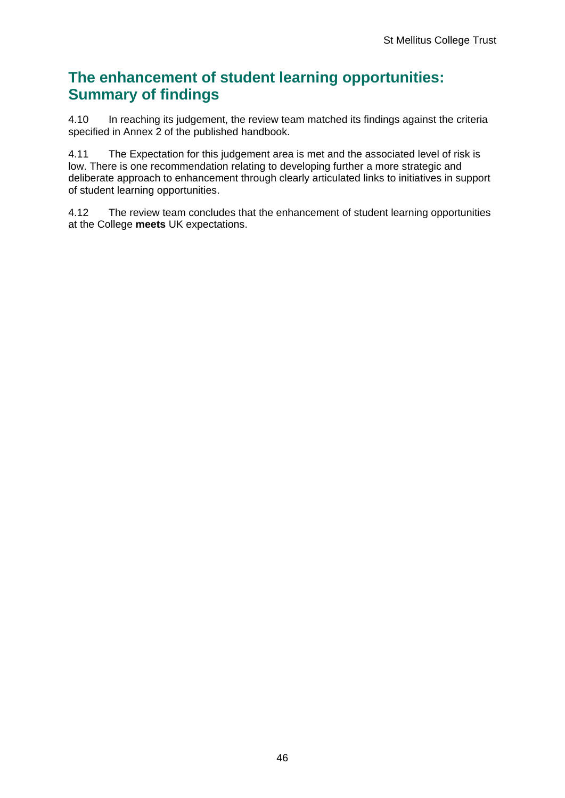## **The enhancement of student learning opportunities: Summary of findings**

4.10 In reaching its judgement, the review team matched its findings against the criteria specified in Annex 2 of the published handbook.

4.11 The Expectation for this judgement area is met and the associated level of risk is low. There is one recommendation relating to developing further a more strategic and deliberate approach to enhancement through clearly articulated links to initiatives in support of student learning opportunities.

4.12 The review team concludes that the enhancement of student learning opportunities at the College **meets** UK expectations.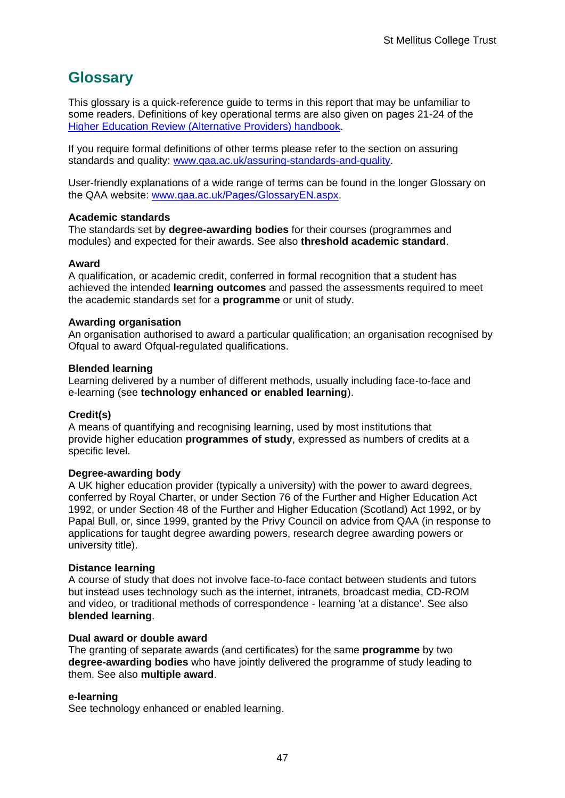## <span id="page-47-0"></span>**Glossary**

This glossary is a quick-reference guide to terms in this report that may be unfamiliar to some readers. Definitions of key operational terms are also given on pages 21-24 of the [Higher Education Review \(Alternative Providers\) handbook.](http://www.qaa.ac.uk/publications/information-and-guidance/publication/?PubID=3094)

If you require formal definitions of other terms please refer to the section on assuring standards and quality: [www.qaa.ac.uk/assuring-standards-and-quality.](www.qaa.ac.uk/assuring-standards-and-quality)

User-friendly explanations of a wide range of terms can be found in the longer Glossary on the QAA website: [www.qaa.ac.uk/Pages/GlossaryEN.aspx.](http://www.qaa.ac.uk/Pages/GlossaryEN.aspx)

#### **Academic standards**

The standards set by **degree-awarding bodies** for their courses (programmes and modules) and expected for their awards. See also **threshold academic standard**.

#### **Award**

A qualification, or academic credit, conferred in formal recognition that a student has achieved the intended **learning outcomes** and passed the assessments required to meet the academic standards set for a **programme** or unit of study.

#### **Awarding organisation**

An organisation authorised to award a particular qualification; an organisation recognised by Ofqual to award Ofqual-regulated qualifications.

#### **Blended learning**

Learning delivered by a number of different methods, usually including face-to-face and e-learning (see **technology enhanced or enabled learning**).

#### **Credit(s)**

A means of quantifying and recognising learning, used by most institutions that provide higher education **programmes of study**, expressed as numbers of credits at a specific level.

#### **Degree-awarding body**

A UK higher education provider (typically a university) with the power to award degrees, conferred by Royal Charter, or under Section 76 of the Further and Higher Education Act 1992, or under Section 48 of the Further and Higher Education (Scotland) Act 1992, or by Papal Bull, or, since 1999, granted by the Privy Council on advice from QAA (in response to applications for taught degree awarding powers, research degree awarding powers or university title).

#### **Distance learning**

A course of study that does not involve face-to-face contact between students and tutors but instead uses technology such as the internet, intranets, broadcast media, CD-ROM and video, or traditional methods of correspondence - learning 'at a distance'. See also **blended learning**.

#### **Dual award or double award**

The granting of separate awards (and certificates) for the same **programme** by two **degree-awarding bodies** who have jointly delivered the programme of study leading to them. See also **multiple award**.

#### **e-learning**

See technology enhanced or enabled learning.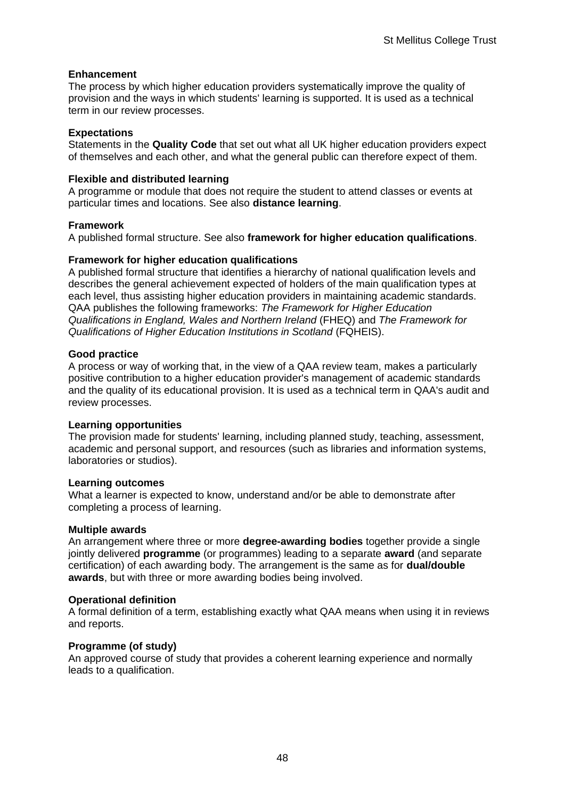#### **Enhancement**

The process by which higher education providers systematically improve the quality of provision and the ways in which students' learning is supported. It is used as a technical term in our review processes.

#### **Expectations**

Statements in the **Quality Code** that set out what all UK higher education providers expect of themselves and each other, and what the general public can therefore expect of them.

#### **Flexible and distributed learning**

A programme or module that does not require the student to attend classes or events at particular times and locations. See also **distance learning**.

#### **Framework**

A published formal structure. See also **framework for higher education qualifications**.

#### **Framework for higher education qualifications**

A published formal structure that identifies a hierarchy of national qualification levels and describes the general achievement expected of holders of the main qualification types at each level, thus assisting higher education providers in maintaining academic standards. QAA publishes the following frameworks: *The Framework for Higher Education Qualifications in England, Wales and Northern Ireland* (FHEQ) and *The Framework for Qualifications of Higher Education Institutions in Scotland* (FQHEIS).

#### **Good practice**

A process or way of working that, in the view of a QAA review team, makes a particularly positive contribution to a higher education provider's management of academic standards and the quality of its educational provision. It is used as a technical term in QAA's audit and review processes.

#### **Learning opportunities**

The provision made for students' learning, including planned study, teaching, assessment, academic and personal support, and resources (such as libraries and information systems, laboratories or studios).

#### **Learning outcomes**

What a learner is expected to know, understand and/or be able to demonstrate after completing a process of learning.

#### **Multiple awards**

An arrangement where three or more **degree-awarding bodies** together provide a single jointly delivered **programme** (or programmes) leading to a separate **award** (and separate certification) of each awarding body. The arrangement is the same as for **dual/double awards**, but with three or more awarding bodies being involved.

#### **Operational definition**

A formal definition of a term, establishing exactly what QAA means when using it in reviews and reports.

#### **Programme (of study)**

An approved course of study that provides a coherent learning experience and normally leads to a qualification.